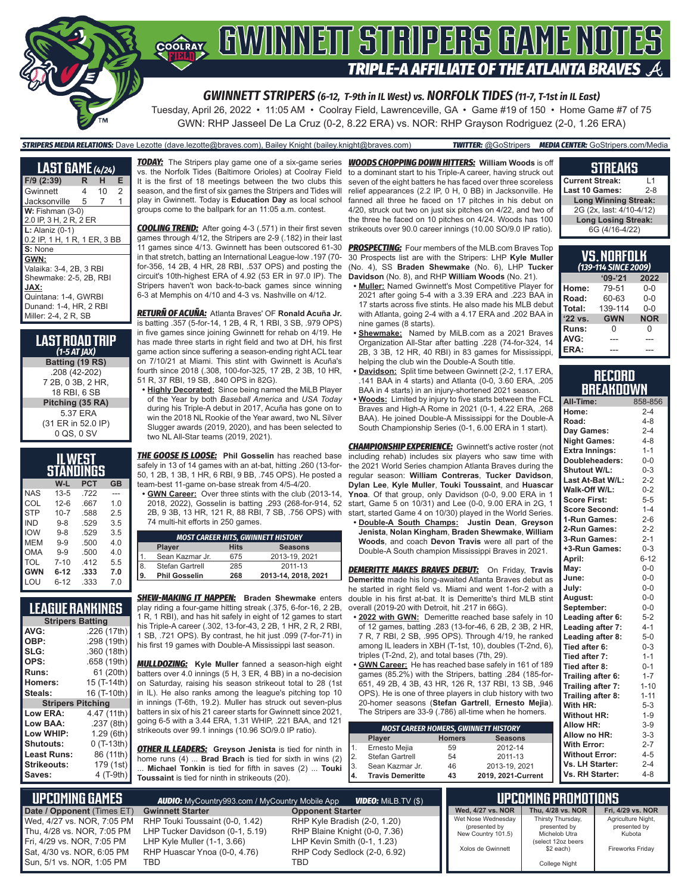

Tuesday, April 26, 2022 • 11:05 AM • Coolray Field, Lawrenceville, GA • Game #19 of 150 • Home Game #7 of 75 GWN: RHP Jasseel De La Cruz (0-2, 8.22 ERA) vs. NOR: RHP Grayson Rodriguez (2-0, 1.26 ERA)

#### *STRIPERS MEDIA RELATIONS:* Dave Lezotte (dave.lezotte@braves.com), Bailey Knight (bailey.knight@braves.com) *TWITTER:* @GoStripers *MEDIA CENTER:* GoStripers.com/Media

**LAST GAME** *(4/24)* **F/9 (2:39) R H E** Gwinnett 4 Jacksonville 5 7 1 **W:** Fishman (3-0) 2.0 IP, 3 H, 2 R, 2 ER **L:** Alaniz (0-1) 0.2 IP, 1 H, 1 R, 1 ER, 3 BB **S:** None **GWN:** Valaika: 3-4, 2B, 3 RBI Shewmake: 2-5, 2B, RBI **JAX:** Quintana: 1-4, GWRBI Dunand: 1-4, HR, 2 RBI Miller: 2-4, 2 R, SB

**LAST ROAD TRIP** *(1-5 AT JAX)* **Batting (19 RS)** .208 (42-202) 7 2B, 0 3B, 2 HR, 18 RBI, 6 SB **Pitching (35 RA)** 5.37 ERA (31 ER in 52.0 IP) 0 QS, 0 SV

| IL WEST    |          |            |           |  |  |  |  |
|------------|----------|------------|-----------|--|--|--|--|
| STANDINGS  |          |            |           |  |  |  |  |
|            | W-L      | <b>PCT</b> | <b>GB</b> |  |  |  |  |
| <b>NAS</b> | $13 - 5$ | .722       |           |  |  |  |  |
| COL        | $12-6$   | .667       | 1.0       |  |  |  |  |
| <b>STP</b> | $10 - 7$ | .588       | 25        |  |  |  |  |
| <b>IND</b> | $9 - 8$  | .529       | 3.5       |  |  |  |  |
| <b>IOW</b> | $9 - 8$  | .529       | 3.5       |  |  |  |  |
| MEM        | $9 - 9$  | .500       | 40        |  |  |  |  |
| OMA        | $9 - 9$  | .500       | 4.0       |  |  |  |  |
| TOL        | $7 - 10$ | .412       | 5.5       |  |  |  |  |
| <b>GWN</b> | $6 - 12$ | .333       | 7.0       |  |  |  |  |
| LOU        | $6 - 12$ | .333       | 7.0       |  |  |  |  |

### **LEAGUE RANKINGS**

| <b>Stripers Batting</b>  |             |  |  |  |  |
|--------------------------|-------------|--|--|--|--|
| AVG:                     | .226 (17th) |  |  |  |  |
| OBP:                     | .298 (19th) |  |  |  |  |
| SLG:                     | .360 (18th) |  |  |  |  |
| OPS:                     | .658 (19th) |  |  |  |  |
| Runs:                    | 61 (20th)   |  |  |  |  |
| <b>Homers:</b>           | 15 (T-14th) |  |  |  |  |
| Steals:                  | 16 (T-10th) |  |  |  |  |
| <b>Stripers Pitching</b> |             |  |  |  |  |
| <b>Low ERA:</b>          | 4.47 (11th) |  |  |  |  |
| <b>Low BAA:</b>          | .237(8th)   |  |  |  |  |
| Low WHIP:                | 1.29(6th)   |  |  |  |  |
| <b>Shutouts:</b>         | $0(T-13th)$ |  |  |  |  |
| Least Runs:              | 86 (11th)   |  |  |  |  |
| Strikeouts:              | 179 (1st)   |  |  |  |  |
| Saves:                   | 4 (T-9th)   |  |  |  |  |

*TODAY:* The Stripers play game one of a six-game series vs. the Norfolk Tides (Baltimore Orioles) at Coolray Field It is the first of 18 meetings between the two clubs this season, and the first of six games the Stripers and Tides will play in Gwinnett. Today is **Education Day** as local school groups come to the ballpark for an 11:05 a.m. contest.

*COOLING TREND:* After going 4-3 (.571) in their first seven games through 4/12, the Stripers are 2-9 (.182) in their last 11 games since 4/13. Gwinnett has been outscored 61-30 in that stretch, batting an International League-low .197 (70 for-356, 14 2B, 4 HR, 28 RBI, .537 OPS) and posting the circuit's 10th-highest ERA of 4.92 (53 ER in 97.0 IP). The Stripers haven't won back-to-back games since winning 6-3 at Memphis on 4/10 and 4-3 vs. Nashville on 4/12.

*RETURÑ OF ACUÑA:* Atlanta Braves' OF **Ronald Acuña Jr.** is batting .357 (5-for-14, 1 2B, 4 R, 1 RBI, 3 SB, .979 OPS) in five games since joining Gwinnett for rehab on 4/19. He has made three starts in right field and two at DH, his first game action since suffering a season-ending right ACL tear on 7/10/21 at Miami. This stint with Gwinnett is Acuña's fourth since 2018 (.308, 100-for-325, 17 2B, 2 3B, 10 HR, 51 R, 37 RBI, 19 SB, .840 OPS in 82G).

**• Highly Decorated:** Since being named the MiLB Player of the Year by both *Baseball America* and *USA Today* during his Triple-A debut in 2017, Acuña has gone on to win the 2018 NL Rookie of the Year award, two NL Silver Slugger awards (2019, 2020), and has been selected to two NL All-Star teams (2019, 2021).

*THE GOOSE IS LOOSE:* **Phil Gosselin** has reached base safely in 13 of 14 games with an at-bat, hitting .260 (13-for-50, 1 2B, 1 3B, 1 HR, 6 RBI, 9 BB, .745 OPS). He posted a team-best 11-game on-base streak from 4/5-4/20.

**GWN Career:** Over three stints with the club (2013-14, 2018, 2022), Gosselin is batting .293 (268-for-914, 52 2B, 9 3B, 13 HR, 121 R, 88 RBI, 7 SB, .756 OPS) with 74 multi-hit efforts in 250 games.

| <b>MOST CAREER HITS, GWINNETT HISTORY</b>      |                      |     |                     |  |  |  |
|------------------------------------------------|----------------------|-----|---------------------|--|--|--|
| <b>Hits</b><br><b>Seasons</b><br><b>Player</b> |                      |     |                     |  |  |  |
|                                                | Sean Kazmar Jr.      | 675 | 2013-19, 2021       |  |  |  |
| 8.                                             | Stefan Gartrell      | 285 | 2011-13             |  |  |  |
| و ا                                            | <b>Phil Gosselin</b> | 268 | 2013-14, 2018, 2021 |  |  |  |

*SHEW-MAKING IT HAPPEN:* **Braden Shewmake** enters play riding a four-game hitting streak (.375, 6-for-16, 2 2B, 1 R, 1 RBI), and has hit safely in eight of 12 games to start his Triple-A career (.302, 13-for-43, 2 2B, 1 HR, 2 R, 2 RBI, 1 SB, .721 OPS). By contrast, he hit just .099 (7-for-71) in his first 19 games with Double-A Mississippi last season.

*MULLDOZING:* **Kyle Muller** fanned a season-high eight batters over 4.0 innings (5 H, 3 ER, 4 BB) in a no-decision on Saturday, raising his season strikeout total to 28 (1st in IL). He also ranks among the league's pitching top 10 in innings (T-6th, 19.2). Muller has struck out seven-plus batters in six of his 21 career starts for Gwinnett since 2021, going 6-5 with a 3.44 ERA, 1.31 WHIP, .221 BAA, and 121 strikeouts over 99.1 innings (10.96 SO/9.0 IP ratio).

*OTHER IL LEADERS:* **Greyson Jenista** is tied for ninth in home runs (4) ... **Brad Brach** is tied for sixth in wins (2) ... **Michael Tonkin** is tied for fifth in saves (2) ... **Touki Toussaint** is tied for ninth in strikeouts (20).

*WOODS CHOPPING DOWN HITTERS:* **William Woods** is off to a dominant start to his Triple-A career, having struck out seven of the eight batters he has faced over three scoreless relief appearances (2.2 IP, 0 H, 0 BB) in Jacksonville. He fanned all three he faced on 17 pitches in his debut on 4/20, struck out two on just six pitches on 4/22, and two of the three he faced on 10 pitches on 4/24. Woods has 100 strikeouts over 90.0 career innings (10.00 SO/9.0 IP ratio).

*PROSPECTING:* Four members of the MLB.com Braves Top 30 Prospects list are with the Stripers: LHP **Kyle Muller** (No. 4), SS **Braden Shewmake** (No. 6), LHP **Tucker Davidson** (No. 8), and RHP **William Woods** (No. 21).

- **• Muller:** Named Gwinnett's Most Competitive Player for 2021 after going 5-4 with a 3.39 ERA and .223 BAA in 17 starts across five stints. He also made his MLB debut with Atlanta, going 2-4 with a 4.17 ERA and .202 BAA in nine games (8 starts).
- **<u>Shewmake:</u>** Named by MiLB.com as a 2021 Braves Organization All-Star after batting .228 (74-for-324, 14 2B, 3 3B, 12 HR, 40 RBI) in 83 games for Mississippi, helping the club win the Double-A South title.
- **• Davidson:** Split time between Gwinnett (2-2, 1.17 ERA, .141 BAA in 4 starts) and Atlanta (0-0, 3.60 ERA, .205 BAA in 4 starts) in an injury-shortened 2021 season.
- **• Woods:** Limited by injury to five starts between the FCL Braves and High-A Rome in 2021 (0-1, 4.22 ERA, .268 BAA). He joined Double-A Mississippi for the Double-A South Championship Series (0-1, 6.00 ERA in 1 start).

**CHAMPIONSHIP EXPERIENCE:** Gwinnett's active roster (not including rehab) includes six players who saw time with the 2021 World Series champion Atlanta Braves during the regular season: **William Contreras**, **Tucker Davidson**, **Dylan Lee**, **Kyle Muller**, **Touki Toussaint**, and **Huascar Ynoa**. Of that group, only Davidson (0-0, 9.00 ERA in 1 start, Game 5 on 10/31) and Lee (0-0, 9.00 ERA in 2G, 1 start, started Game 4 on 10/30) played in the World Series.

**• Double-A South Champs: Justin Dean**, **Greyson Jenista**, **Nolan Kingham**, **Braden Shewmake**, **William Woods**, and coach **Devon Travis** were all part of the Double-A South champion Mississippi Braves in 2021.

*DEMERITTE MAKES BRAVES DEBUT:* On Friday, **Travis Demeritte** made his long-awaited Atlanta Braves debut as he started in right field vs. Miami and went 1-for-2 with a double in his first at-bat. It is Demeritte's third MLB stint overall (2019-20 with Detroit, hit .217 in 66G).

- **• 2022 with GWN:** Demeritte reached base safely in 10 of 12 games, batting .283 (13-for-46, 6 2B, 2 3B, 2 HR, 7 R, 7 RBI, 2 SB, .995 OPS). Through 4/19, he ranked among IL leaders in XBH (T-1st, 10), doubles (T-2nd, 6), triples (T-2nd, 2), and total bases (7th, 29).
- **• GWN Career:** He has reached base safely in 161 of 189 games (85.2%) with the Stripers, batting .284 (185-for-651, 49 2B, 4 3B, 43 HR, 126 R, 137 RBI, 13 SB, .946 OPS). He is one of three players in club history with two 20-homer seasons (**Stefan Gartrell**, **Ernesto Mejia**). The Stripers are 33-9 (.786) all-time when he homers.

| <b>MOST CAREER HOMERS, GWINNETT HISTORY</b> |                         |               |                    |  |  |  |  |
|---------------------------------------------|-------------------------|---------------|--------------------|--|--|--|--|
|                                             | Player                  | <b>Homers</b> | <b>Seasons</b>     |  |  |  |  |
| $\mathbf{1}$ .                              | Ernesto Mejia           | 59            | 2012-14            |  |  |  |  |
| $\overline{2}$ .                            | Stefan Gartrell         | 54            | 2011-13            |  |  |  |  |
| 3.                                          | Sean Kazmar Jr.         | 46            | 2013-19, 2021      |  |  |  |  |
| 4.                                          | <b>Travis Demeritte</b> | 43            | 2019, 2021-Current |  |  |  |  |

#### **STREAKS**

| <b>Current Streak:</b>      | l 1     |
|-----------------------------|---------|
| Last 10 Games:              | $2 - 8$ |
| <b>Long Winning Streak:</b> |         |
| 2G (2x, last: 4/10-4/12)    |         |
| <b>Long Losing Streak:</b>  |         |
| 6G (4/16-4/22)              |         |

| VS.NORFOLK<br>(139-114 SINCE 2009) |                          |         |  |  |  |  |  |
|------------------------------------|--------------------------|---------|--|--|--|--|--|
| $9 - 21$<br>2022                   |                          |         |  |  |  |  |  |
| Home:                              | 79-51                    | 0-0     |  |  |  |  |  |
| Road:                              | 60-63                    | 0-0     |  |  |  |  |  |
| Total:                             | 139-114                  | $0 - 0$ |  |  |  |  |  |
| $'22$ vs.                          | <b>NOR</b><br><b>GWN</b> |         |  |  |  |  |  |
| Runs:                              | U                        | U       |  |  |  |  |  |
| AVG:                               |                          |         |  |  |  |  |  |
| ERA:                               |                          |         |  |  |  |  |  |

#### **RECORD RRFAKNOWN**

| All-Time:             | 858-856  |
|-----------------------|----------|
| Home:                 | $2 - 4$  |
| Road:                 | $4 - 8$  |
| Day Games:            | $2 - 4$  |
| <b>Night Games:</b>   | $4 - 8$  |
| <b>Extra Innings:</b> | $1 - 1$  |
| Doubleheaders:        | $0-0$    |
| <b>Shutout W/L:</b>   | $0 - 3$  |
| Last At-Bat W/L:      | $2 - 2$  |
| Walk-Off W/L:         | $0 - 2$  |
| <b>Score First:</b>   | $5 - 5$  |
| <b>Score Second:</b>  | $1 - 4$  |
| 1-Run Games:          | $2 - 6$  |
| 2-Run Games:          | $2 - 2$  |
| 3-Run Games:          | $2 - 1$  |
| +3-Run Games:         | $0 - 3$  |
| April:                | $6 - 12$ |
| May:                  | $0-0$    |
| June:                 | $0-0$    |
| July:                 | $0-0$    |
| August:               | $0-0$    |
| September:            | $0 - 0$  |
| Leading after 6:      | $5 - 2$  |
| Leading after 7:      | $4 - 1$  |
| Leading after 8:      | $5-0$    |
| Tied after 6:         | $0 - 3$  |
| Tied after 7:         | $1 - 1$  |
| Tied after 8:         | $0 - 1$  |
| Trailing after 6:     | $1 - 7$  |
| Trailing after 7:     | $1 - 10$ |
| Trailing after 8:     | $1 - 11$ |
| With HR:              | $5 - 3$  |
| <b>Without HR:</b>    | $1 - 9$  |
| <b>Allow HR:</b>      | $3-9$    |
| Allow no HR:          | $3 - 3$  |
| <b>With Error:</b>    | $2 - 7$  |
| <b>Without Error:</b> | $4 - 5$  |
| Vs. LH Starter:       | $2 - 4$  |
| Vs. RH Starter:       | $4 - 8$  |

**UPCOMING PROMOTIONS Wed, 4/27 vs. NOR Thu, 4/28 vs. NOR Fri, 4/29 vs. NOR** Wet Nose Wednesday (presented by New Country 101.5) Xolos de Gwinnett Thirsty Thursday, presented by Michelob Utra (select 12oz beers \$2 each) College Night Agriculture Night, presented by Kubota Fireworks Friday  **UPCOMING GAMES** *AUDIO:* MyCountry993.com / MyCountry Mobile App *VIDEO:* MiLB.TV (\$) **Date / Opponent (Times ET) Gwinnett Starter Opponent Starter Opponent Starter Wed, 4/27 vs. NOR, 7:05 PM** RHP Touki Toussaint (0-0, 1.42) RHP Kyle Bradish (2-0, 1.20) Wed, 4/27 vs. NOR, 7:05 PM RHP Touki Toussaint (0-0, 1.42) RHP Kyle Bradish (2-0, 1.20)<br>Thu, 4/28 vs. NOR, 7:05 PM LHP Tucker Davidson (0-1, 5.19) RHP Blaine Knight (0-0, 7.36) Thu, 4/28 vs. NOR, 7:05 PM LHP Tucker Davidson (0-1, 5.19)<br>Fri, 4/29 vs. NOR, 7:05 PM LHP Kyle Muller (1-1, 3.66) Fri, 4/29 vs. NOR, 7:05 PM LHP Kyle Muller (1-1, 3.66) LHP Kevin Smith (0-1, 1.23) RHP Huascar Ynoa (0-0, 4.76) Sun, 5/1 vs. NOR, 1:05 PM TBD TBD TBD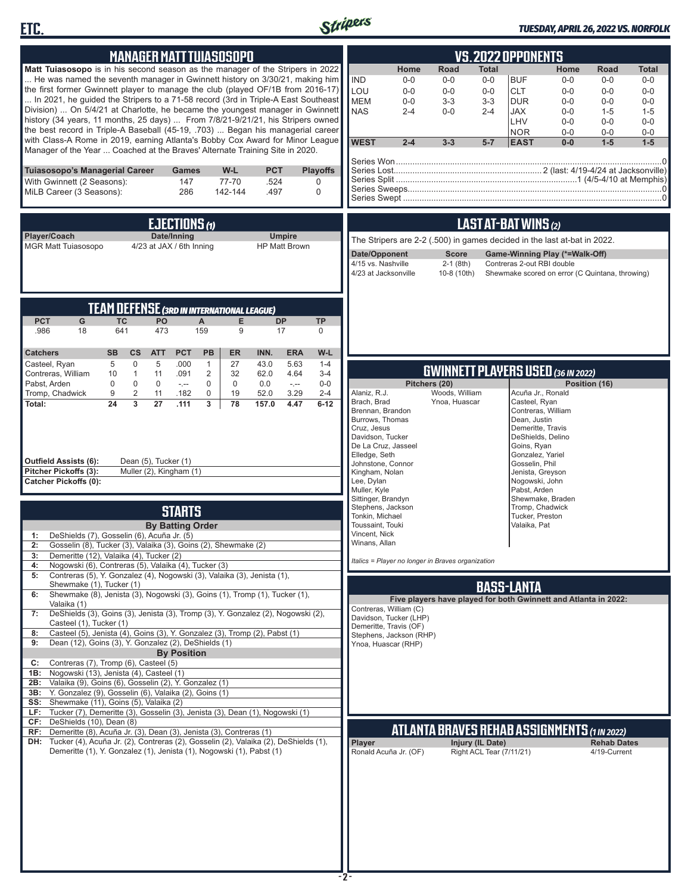



### *TUESDAY, APRIL 26, 2022 VS. NORFOLK*

| <b>MANAGER MATT TUIASOSOPO</b>                                                                                                                                                                                                                                                                                                                                                                                                                                                                                                                                                                                                                                                                                                                                                                                                                                                                                                                                                                                                                                                                                                                                                                                                                                                                                                                              | <b>VS.2022 OPPONENTS</b>                                                                                                                                                                                                                                                                                                                                                                                                                                                                                                                                                                  |
|-------------------------------------------------------------------------------------------------------------------------------------------------------------------------------------------------------------------------------------------------------------------------------------------------------------------------------------------------------------------------------------------------------------------------------------------------------------------------------------------------------------------------------------------------------------------------------------------------------------------------------------------------------------------------------------------------------------------------------------------------------------------------------------------------------------------------------------------------------------------------------------------------------------------------------------------------------------------------------------------------------------------------------------------------------------------------------------------------------------------------------------------------------------------------------------------------------------------------------------------------------------------------------------------------------------------------------------------------------------|-------------------------------------------------------------------------------------------------------------------------------------------------------------------------------------------------------------------------------------------------------------------------------------------------------------------------------------------------------------------------------------------------------------------------------------------------------------------------------------------------------------------------------------------------------------------------------------------|
| <b>Matt Tuiasosopo</b> is in his second season as the manager of the Stripers in 2022<br>He was named the seventh manager in Gwinnett history on 3/30/21, making him<br>the first former Gwinnett player to manage the club (played OF/1B from 2016-17)<br>In 2021, he guided the Stripers to a 71-58 record (3rd in Triple-A East Southeast<br>Division)  On 5/4/21 at Charlotte, he became the youngest manager in Gwinnett<br>history (34 years, 11 months, 25 days)  From 7/8/21-9/21/21, his Stripers owned<br>the best record in Triple-A Baseball (45-19, .703)  Began his managerial career<br>with Class-A Rome in 2019, earning Atlanta's Bobby Cox Award for Minor League<br>Manager of the Year  Coached at the Braves' Alternate Training Site in 2020.                                                                                                                                                                                                                                                                                                                                                                                                                                                                                                                                                                                        | <b>Road</b><br>Home<br>Total<br>Home<br><b>Road</b><br><b>Total</b><br><b>IND</b><br><b>BUF</b><br>$0-0$<br>$0-0$<br>$0-0$<br>$0-0$<br>$0-0$<br>$0-0$<br>LOU<br>$0 - 0$<br>$0-0$<br>$0-0$<br><b>CLT</b><br>$0-0$<br>$0 - 0$<br>$0-0$<br><b>MEM</b><br>$3 - 3$<br>$3-3$<br><b>DUR</b><br>$0-0$<br>$0-0$<br>$0-0$<br>$0-0$<br><b>NAS</b><br>$0-0$<br><b>JAX</b><br>$2 - 4$<br>$2 - 4$<br>$0-0$<br>$1 - 5$<br>$1 - 5$<br>LHV<br>$0-0$<br>$0 - 0$<br>$0-0$<br><b>NOR</b><br>$0-0$<br>$0-0$<br>$0-0$<br><b>WEST</b><br>$1-5$<br>$2 - 4$<br>$3 - 3$<br>$5 - 7$<br><b>EAST</b><br>$0-0$<br>$1-5$ |
| <b>PCT</b><br><b>Tuiasosopo's Managerial Career</b><br>W-L<br><b>Playoffs</b><br>Games<br>With Gwinnett (2 Seasons):<br>147<br>77-70<br>.524<br>$\mathbf 0$<br>MiLB Career (3 Seasons):<br>286<br>142-144<br>.497<br>$\mathbf 0$                                                                                                                                                                                                                                                                                                                                                                                                                                                                                                                                                                                                                                                                                                                                                                                                                                                                                                                                                                                                                                                                                                                            |                                                                                                                                                                                                                                                                                                                                                                                                                                                                                                                                                                                           |
| <b>EJECTIONS (1)</b><br>Player/Coach<br>Date/Inning<br><b>Umpire</b><br><b>MGR Matt Tuiasosopo</b><br>4/23 at JAX / 6th Inning<br><b>HP Matt Brown</b>                                                                                                                                                                                                                                                                                                                                                                                                                                                                                                                                                                                                                                                                                                                                                                                                                                                                                                                                                                                                                                                                                                                                                                                                      | LAST AT-BAT WINS (2)<br>The Stripers are 2-2 (.500) in games decided in the last at-bat in 2022.<br>Date/Opponent<br><b>Score</b><br>Game-Winning Play (*=Walk-Off)<br>4/15 vs. Nashville<br>$2-1$ (8th)<br>Contreras 2-out RBI double<br>4/23 at Jacksonville<br>10-8 (10th)<br>Shewmake scored on error (C Quintana, throwing)                                                                                                                                                                                                                                                          |
| <b>TEAM DEFENSE (3RD IN INTERNATIONAL LEAGUE)</b><br><b>PCT</b><br>G<br><b>TC</b><br>PO<br>E<br><b>DP</b><br><b>TP</b><br>A<br>641<br>159<br>.986<br>18<br>473<br>9<br>17<br>$\mathbf 0$                                                                                                                                                                                                                                                                                                                                                                                                                                                                                                                                                                                                                                                                                                                                                                                                                                                                                                                                                                                                                                                                                                                                                                    |                                                                                                                                                                                                                                                                                                                                                                                                                                                                                                                                                                                           |
| <b>SB</b><br><b>PCT</b><br><b>PB</b><br><b>ER</b><br><b>ERA</b><br>$W-L$<br><b>Catchers</b><br><b>CS</b><br><b>ATT</b><br>INN.<br>5<br>$\mathbf 0$<br>5<br>.000<br>$\mathbf{1}$<br>27<br>43.0<br>5.63<br>$1 - 4$<br>Casteel, Ryan<br>$\overline{2}$<br>32<br>62.0<br>4.64<br>$3 - 4$<br>Contreras, William<br>10<br>$\mathbf{1}$<br>11<br>.091<br>Pabst, Arden<br>$\mathbf 0$<br>$\mathbf 0$<br>$\mathbf 0$<br>$\mathbf 0$<br>$0-0$<br>$\mathbf 0$<br>0.0<br>$\sim$ , $\sim$<br>$-1$<br>Tromp, Chadwick<br>$\overline{2}$<br>11<br>$\mathbf 0$<br>19<br>52.0<br>3.29<br>$2 - 4$<br>9<br>.182<br>$\overline{3}$<br>24<br>27<br>78<br>157.0<br>4.47<br>$6 - 12$<br>Total:<br>.111<br>3<br><b>Outfield Assists (6):</b><br>Dean (5), Tucker (1)<br>Muller (2), Kingham (1)<br>Pitcher Pickoffs (3):<br><b>Catcher Pickoffs (0):</b>                                                                                                                                                                                                                                                                                                                                                                                                                                                                                                                            | <b>GWINNETT PLAYERS USED (36 IN 2022)</b><br>Pitchers (20)<br>Position (16)<br>Woods, William<br>Alaniz, R.J.<br>Acuña Jr., Ronald<br>Brach, Brad<br>Ynoa, Huascar<br>Casteel, Ryan<br>Brennan, Brandon<br>Contreras, William<br>Burrows, Thomas<br>Dean, Justin<br>Demeritte, Travis<br>Cruz, Jesus<br>Davidson, Tucker<br>DeShields, Delino<br>De La Cruz, Jasseel<br>Goins, Ryan<br>Elledge, Seth<br>Gonzalez, Yariel<br>Johnstone, Connor<br>Gosselin, Phil<br>Kingham, Nolan<br>Jenista, Greyson<br>Lee, Dylan<br>Nogowski, John<br>Muller, Kyle<br>Pabst, Arden                     |
| <b>STARTS</b><br><b>By Batting Order</b><br>DeShields (7), Gosselin (6), Acuña Jr. (5)<br>1:<br>Gosselin (8), Tucker (3), Valaika (3), Goins (2), Shewmake (2)<br>2:<br>Demeritte (12), Valaika (4), Tucker (2)<br>3:<br>Nogowski (6), Contreras (5), Valaika (4), Tucker (3)<br>4:<br>Contreras (5), Y. Gonzalez (4), Nogowski (3), Valaika (3), Jenista (1),<br>5:<br>Shewmake (1), Tucker (1)<br>Shewmake (8), Jenista (3), Nogowski (3), Goins (1), Tromp (1), Tucker (1),<br>Valaika (1)<br>DeShields (3), Goins (3), Jenista (3), Tromp (3), Y. Gonzalez (2), Nogowski (2),<br>7:<br>Casteel (1), Tucker (1)<br>Casteel (5), Jenista (4), Goins (3), Y. Gonzalez (3), Tromp (2), Pabst (1)<br>8:<br>Dean (12), Goins (3), Y. Gonzalez (2), DeShields (1)<br>9:<br><b>By Position</b><br>Contreras (7), Tromp (6), Casteel (5)<br>C:<br>Nogowski (13), Jenista (4), Casteel (1)<br>1B:<br>2B: Valaika (9), Goins (6), Gosselin (2), Y. Gonzalez (1)<br>3B: Y. Gonzalez (9), Gosselin (6), Valaika (2), Goins (1)<br>SS: Shewmake (11), Goins (5), Valaika (2)<br>LF: Tucker (7), Demeritte (3), Gosselin (3), Jenista (3), Dean (1), Nogowski (1)<br>CF: DeShields (10), Dean (8)<br>RF: Demeritte (8), Acuña Jr. (3), Dean (3), Jenista (3), Contreras (1)<br>DH: Tucker (4), Acuña Jr. (2), Contreras (2), Gosselin (2), Valaika (2), DeShields (1), | Stephens, Jackson<br>Tromp, Chadwick<br>Tonkin, Michael<br>Tucker, Preston<br>Toussaint, Touki<br>Valaika, Pat<br>Vincent, Nick<br>Winans, Allan<br>Italics = Player no longer in Braves organization<br><b>BASS-LANTA</b><br>Five players have played for both Gwinnett and Atlanta in 2022:<br>Contreras, William (C)<br>Davidson, Tucker (LHP)<br>Demeritte, Travis (OF)<br>Stephens, Jackson (RHP)<br>Ynoa, Huascar (RHP)<br><b>ATLANTA BRAVES REHAB ASSIGNMENTS (1 IN 2022)</b><br>Player<br>Injury (IL Date)<br><b>Rehab Dates</b>                                                  |
| Demeritte (1), Y. Gonzalez (1), Jenista (1), Nogowski (1), Pabst (1)                                                                                                                                                                                                                                                                                                                                                                                                                                                                                                                                                                                                                                                                                                                                                                                                                                                                                                                                                                                                                                                                                                                                                                                                                                                                                        | Right ACL Tear (7/11/21)<br>Ronald Acuña Jr. (OF)<br>4/19-Current                                                                                                                                                                                                                                                                                                                                                                                                                                                                                                                         |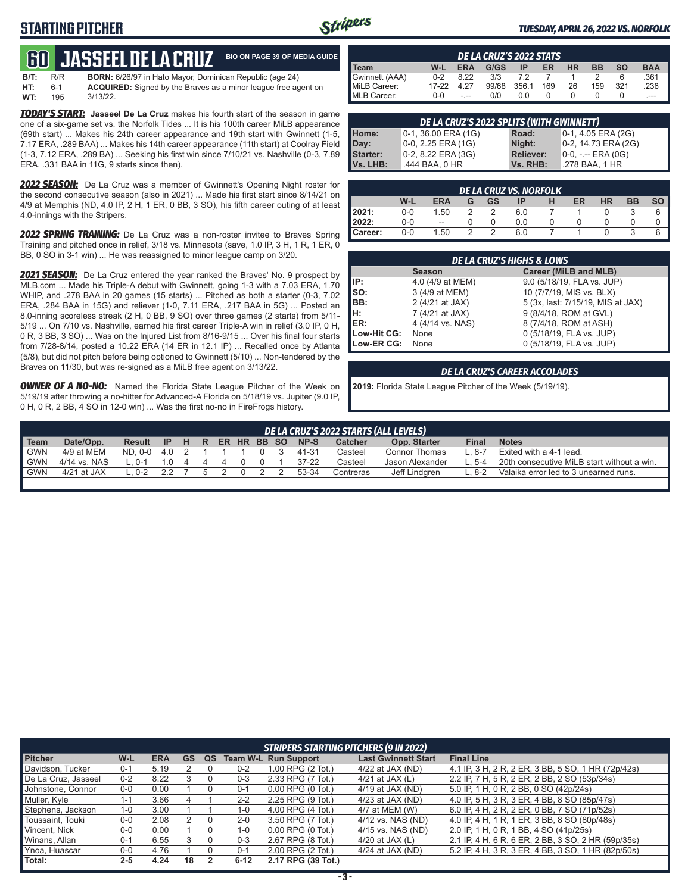### **STARTING PITCHER**



**A GUIDE** 

#### *TUESDAY, APRIL 26, 2022 VS. NORFOLK*

|      |     | <b>GO JASSEEL DE LA CRUZ</b>                                    | <b>BIO ON PAGE 39 OF MEDI</b> |
|------|-----|-----------------------------------------------------------------|-------------------------------|
| B/T: | R/R | <b>BORN:</b> 6/26/97 in Hato Mayor, Dominican Republic (age 24) |                               |

| WT:  | - 195 | 3/13/22.                                                              |
|------|-------|-----------------------------------------------------------------------|
| HT:  | $6-1$ | <b>ACQUIRED:</b> Signed by the Braves as a minor league free agent on |
| ---- | .     |                                                                       |

**TODAY'S START:** Jasseel De La Cruz makes his fourth start of the season in game one of a six-game set vs. the Norfolk Tides ... It is his 100th career MiLB appearance (69th start) ... Makes his 24th career appearance and 19th start with Gwinnett (1-5, 7.17 ERA, .289 BAA) ... Makes his 14th career appearance (11th start) at Coolray Field (1-3, 7.12 ERA, .289 BA) ... Seeking his first win since 7/10/21 vs. Nashville (0-3, 7.89 ERA, .331 BAA in 11G, 9 starts since then).

*2022 SEASON:* De La Cruz was a member of Gwinnett's Opening Night roster for the second consecutive season (also in 2021) ... Made his first start since 8/14/21 on 4/9 at Memphis (ND, 4.0 IP, 2 H, 1 ER, 0 BB, 3 SO), his fifth career outing of at least 4.0-innings with the Stripers.

*2022 SPRING TRAINING:* De La Cruz was a non-roster invitee to Braves Spring Training and pitched once in relief, 3/18 vs. Minnesota (save, 1.0 IP, 3 H, 1 R, 1 ER, 0 BB, 0 SO in 3-1 win) ... He was reassigned to minor league camp on 3/20.

*2021 SEASON:* De La Cruz entered the year ranked the Braves' No. 9 prospect by MLB.com ... Made his Triple-A debut with Gwinnett, going 1-3 with a 7.03 ERA, 1.70 WHIP, and .278 BAA in 20 games (15 starts) ... Pitched as both a starter (0-3, 7.02 ERA, .284 BAA in 15G) and reliever (1-0, 7.11 ERA, .217 BAA in 5G) ... Posted an 8.0-inning scoreless streak (2 H, 0 BB, 9 SO) over three games (2 starts) from 5/11- 5/19 ... On 7/10 vs. Nashville, earned his first career Triple-A win in relief (3.0 IP, 0 H, 0 R, 3 BB, 3 SO) ... Was on the Injured List from 8/16-9/15 ... Over his final four starts from 7/28-8/14, posted a 10.22 ERA (14 ER in 12.1 IP) ... Recalled once by Atlanta (5/8), but did not pitch before being optioned to Gwinnett (5/10) ... Non-tendered by the Braves on 11/30, but was re-signed as a MiLB free agent on 3/13/22.

**OWNER OF A NO-NO:** Named the Florida State League Pitcher of the Week on 5/19/19 after throwing a no-hitter for Advanced-A Florida on 5/18/19 vs. Jupiter (9.0 IP, 0 H, 0 R, 2 BB, 4 SO in 12-0 win) ... Was the first no-no in FireFrogs history.

| DE LA CRUZ'S 2022 STATS |         |            |       |       |     |           |           |           |            |
|-------------------------|---------|------------|-------|-------|-----|-----------|-----------|-----------|------------|
| I Team                  | W-L     | <b>ERA</b> | G/GS  | ΙP    | ER  | <b>HR</b> | <b>BB</b> | <b>SO</b> | <b>BAA</b> |
| Gwinnett (AAA)          | $0 - 2$ | 8 22       | 3/3   |       |     |           |           |           | .361       |
| MiLB Career:            | 17-22   |            | 99/68 | 356.1 | 169 | 26        | 159       | 321       | .236       |
| MLB Career:             | $0 - 0$ | $- - -$    | 0/0   | 0.0   |     |           |           |           | ---        |

| DE LA CRUZ'S 2022 SPLITS (WITH GWINNETT) |                        |                  |                      |  |  |  |
|------------------------------------------|------------------------|------------------|----------------------|--|--|--|
| Home:                                    | $0-1$ , 36.00 ERA (1G) | Road:            | $0-1, 4.05$ ERA (2G) |  |  |  |
| Day:                                     | $0-0$ , 2.25 ERA (1G)  | Night:           | 0-2, 14.73 ERA (2G)  |  |  |  |
| Starter:                                 | $0-2$ , 8.22 ERA (3G)  | <b>Reliever:</b> | 0-0, -.-- ERA (0G)   |  |  |  |
| Vs. LHB:                                 | .444 BAA, 0 HR         | Vs. RHB:         | .278 BAA. 1 HR       |  |  |  |

|                  | <b>DE LA CRUZ VS. NORFOLK</b> |            |   |    |     |  |    |           |    |      |  |  |  |
|------------------|-------------------------------|------------|---|----|-----|--|----|-----------|----|------|--|--|--|
|                  | W-L                           | <b>ERA</b> | G | GS | IP  |  | ER | <b>HR</b> | BB | so I |  |  |  |
| 2021:            | $0 - 0$                       | 1.50       |   |    | 6.0 |  |    |           |    |      |  |  |  |
| 2022:            | $0-0$                         | --         |   |    | 0.0 |  |    |           |    |      |  |  |  |
| <b>I</b> Career: | $0-0$                         | 1.50       |   |    | 6.0 |  |    |           |    |      |  |  |  |

|             | DE LA CRUZ'S HIGHS & LOWS |                                   |  |  |  |  |  |  |  |  |  |  |
|-------------|---------------------------|-----------------------------------|--|--|--|--|--|--|--|--|--|--|
|             | <b>Season</b>             | Career (MiLB and MLB)             |  |  |  |  |  |  |  |  |  |  |
| IP:         | 4.0 (4/9 at MEM)          | 9.0 (5/18/19, FLA vs. JUP)        |  |  |  |  |  |  |  |  |  |  |
| lso:        | 3 (4/9 at MEM)            | 10 (7/7/19, MIS vs. BLX)          |  |  |  |  |  |  |  |  |  |  |
| BB:         | 2 (4/21 at JAX)           | 5 (3x, last: 7/15/19, MIS at JAX) |  |  |  |  |  |  |  |  |  |  |
| l H:        | 7 (4/21 at JAX)           | 9 (8/4/18, ROM at GVL)            |  |  |  |  |  |  |  |  |  |  |
| ER:         | 4 (4/14 vs. NAS)          | 8 (7/4/18, ROM at ASH)            |  |  |  |  |  |  |  |  |  |  |
| Low-Hit CG: | None                      | 0 (5/18/19, FLA vs. JUP)          |  |  |  |  |  |  |  |  |  |  |
| Low-ER CG:  | None                      | 0 (5/18/19, FLA vs. JUP)          |  |  |  |  |  |  |  |  |  |  |

#### *DE LA CRUZ'S CAREER ACCOLADES*

**2019:** Florida State League Pitcher of the Week (5/19/19).

| DE LA CRUZ'S 2022 STARTS (ALL LEVELS) |                                                                                                       |         |          |                |               |  |  |          |  |           |           |                 |        |                                            |
|---------------------------------------|-------------------------------------------------------------------------------------------------------|---------|----------|----------------|---------------|--|--|----------|--|-----------|-----------|-----------------|--------|--------------------------------------------|
| Team                                  | Date/Opp.<br>NP-S<br>ER HR BB SO<br>Result IP H R<br>Opp. Starter<br><b>Notes</b><br>Catcher<br>Final |         |          |                |               |  |  |          |  |           |           |                 |        |                                            |
| <b>GWN</b>                            | 4/9 at MEM                                                                                            | ND. 0-0 | 4.0      |                |               |  |  | $\Omega$ |  | 41-31     | Casteel   | Connor Thomas   | - 8-7  | Exited with a 4-1 lead.                    |
| <b>GWN</b>                            | 4/14 vs. NAS                                                                                          | . 0-1   | $\Omega$ | $\overline{a}$ | $\Delta$      |  |  |          |  | $37 - 22$ | Casteel   | Jason Alexander | $-5-4$ | 20th consecutive MiLB start without a win. |
| ' GWN                                 | $4/21$ at JAX                                                                                         | $0 - 2$ | 22       |                | $\mathcal{D}$ |  |  |          |  | 53-34     | Contreras | Jeff Lindgren   | - 8-2  | Valaika error led to 3 unearned runs.      |
|                                       |                                                                                                       |         |          |                |               |  |  |          |  |           |           |                 |        |                                            |

| STRIPERS STARTING PITCHERS (9 IN 2022) |         |            |    |    |          |                             |                            |                                                    |  |  |  |  |
|----------------------------------------|---------|------------|----|----|----------|-----------------------------|----------------------------|----------------------------------------------------|--|--|--|--|
| <b>Pitcher</b>                         | W-L     | <b>ERA</b> | GS | QS |          | <b>Team W-L Run Support</b> | <b>Last Gwinnett Start</b> | <b>Final Line</b>                                  |  |  |  |  |
| Davidson, Tucker                       | $0 - 1$ | 5.19       |    |    | $0 - 2$  | 1.00 RPG (2 Tot.)           | $4/22$ at JAX (ND)         | 4.1 IP, 3 H, 2 R, 2 ER, 3 BB, 5 SO, 1 HR (72p/42s) |  |  |  |  |
| De La Cruz, Jasseel                    | $0 - 2$ | 8.22       |    |    | $0 - 3$  | 2.33 RPG (7 Tot.)           | 4/21 at JAX $(L)$          | 2.2 IP, 7 H, 5 R, 2 ER, 2 BB, 2 SO (53p/34s)       |  |  |  |  |
| Johnstone, Connor                      | $0-0$   | 0.00       |    |    | $0 - 1$  | $0.00$ RPG $(0)$ Tot.)      | $4/19$ at JAX (ND)         | 5.0 IP, 1 H, 0 R, 2 BB, 0 SO (42p/24s)             |  |  |  |  |
| Muller, Kyle                           | 1-1     | 3.66       |    |    | $2 - 2$  | 2.25 RPG (9 Tot.)           | $4/23$ at JAX (ND)         | 4.0 IP, 5 H, 3 R, 3 ER, 4 BB, 8 SO (85p/47s)       |  |  |  |  |
| Stephens, Jackson                      | $1 - 0$ | 3.00       |    |    | $1 - 0$  | 4.00 RPG (4 Tot.)           | 4/7 at MEM (W)             | 6.0 IP, 4 H, 2 R, 2 ER, 0 BB, 7 SO (71p/52s)       |  |  |  |  |
| Toussaint, Touki                       | $0-0$   | 2.08       |    |    | $2 - 0$  | 3.50 RPG (7 Tot.)           | 4/12 vs. NAS (ND)          | 4.0 IP, 4 H, 1 R, 1 ER, 3 BB, 8 SO (80p/48s)       |  |  |  |  |
| Vincent, Nick                          | 0-0     | 0.00       |    |    | 1-0      | $0.00$ RPG $(0$ Tot.)       | 4/15 vs. NAS (ND)          | 2.0 IP, 1 H, 0 R, 1 BB, 4 SO (41p/25s)             |  |  |  |  |
| Winans, Allan                          | $0 - 1$ | 6.55       |    |    | $0 - 3$  | 2.67 RPG (8 Tot.)           | 4/20 at JAX $(L)$          | 2.1 IP, 4 H, 6 R, 6 ER, 2 BB, 3 SO, 2 HR (59p/35s) |  |  |  |  |
| Ynoa. Huascar                          | 0-0     | 4.76       |    |    | $0 - 1$  | 2.00 RPG (2 Tot.)           | $4/24$ at JAX (ND)         | 5.2 IP, 4 H, 3 R, 3 ER, 4 BB, 3 SO, 1 HR (82p/50s) |  |  |  |  |
| Total:                                 | $2 - 5$ | 4.24       | 18 |    | $6 - 12$ | 2.17 RPG (39 Tot.)          |                            |                                                    |  |  |  |  |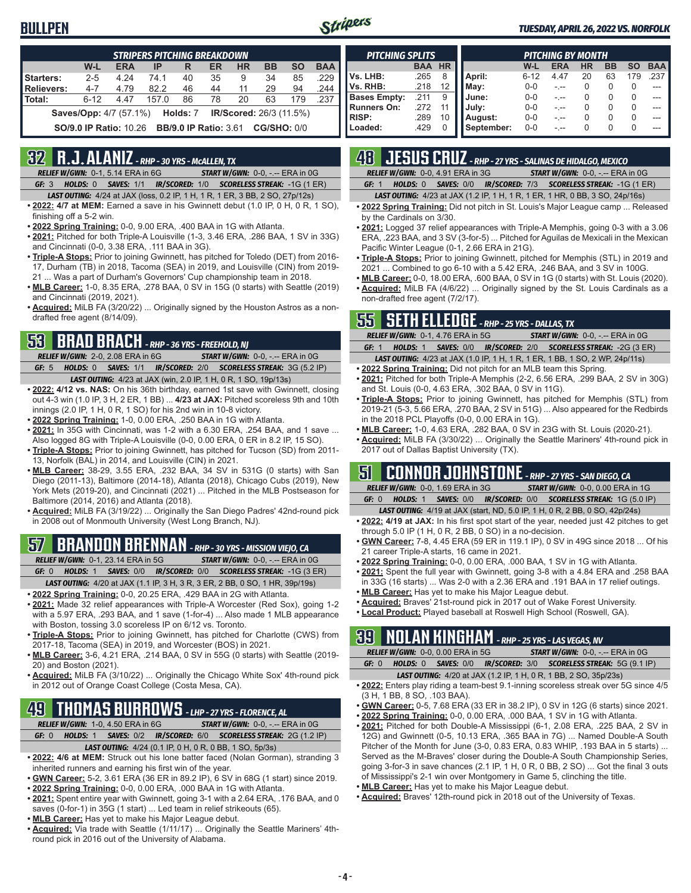### **BULLPEN**



#### *TUESDAY, APRIL 26, 2022 VS. NORFOLK*

| <b>STRIPERS PITCHING BREAKDOWN</b>                                                      |                                                                                 |      |       |    |    |    |    |     |      |  |  |  |
|-----------------------------------------------------------------------------------------|---------------------------------------------------------------------------------|------|-------|----|----|----|----|-----|------|--|--|--|
| W-L<br><b>ERA</b><br><b>HR</b><br><b>BB</b><br><b>SO</b><br>IP<br>ER<br><b>BAA</b><br>R |                                                                                 |      |       |    |    |    |    |     |      |  |  |  |
| Starters:                                                                               | $2 - 5$                                                                         | 4 24 | 74 1  | 40 | 35 | 9  | 34 | 85  | .229 |  |  |  |
| <b>Relievers:</b><br>.244<br>44<br>$4 - 7$<br>82.2<br>46<br>29<br>4.79<br>11<br>94      |                                                                                 |      |       |    |    |    |    |     |      |  |  |  |
| Total:                                                                                  | $6 - 12$                                                                        | 4.47 | 157.0 | 86 | 78 | 20 | 63 | 179 | .237 |  |  |  |
|                                                                                         | <b>Saves/Opp:</b> 4/7 (57.1%) <b>Holds: 7</b><br><b>IR/Scored:</b> 26/3 (11.5%) |      |       |    |    |    |    |     |      |  |  |  |
| <b>CG/SHO: 0/0</b><br><b>SO/9.0 IP Ratio: 10.26</b><br><b>BB/9.0 IP Ratio: 3.61</b>     |                                                                                 |      |       |    |    |    |    |     |      |  |  |  |

### **32 R.J. ALANIZ** *- RHP - 30 YRS - McALLEN, TX*

*RELIEF W/GWN:*0-1, 5.14 ERA in 6G *START W/GWN:*0-0, -.-- ERA in 0G *GF:*3 *HOLDS:*0 *SAVES:*1/1 *IR/SCORED:*1/0 *SCORELESS STREAK:*-1G (1 ER)

- *LAST OUTING:*4/24 at JAX (loss, 0.2 IP, 1 H, 1 R, 1 ER, 3 BB, 2 SO, 27p/12s)
- **• 2022: 4/7 at MEM:** Earned a save in his Gwinnett debut (1.0 IP, 0 H, 0 R, 1 SO), finishing off a 5-2 win.
- **• 2022 Spring Training:** 0-0, 9.00 ERA, .400 BAA in 1G with Atlanta.
- **• 2021:** Pitched for both Triple-A Louisville (1-3, 3.46 ERA, .286 BAA, 1 SV in 33G) and Cincinnati (0-0, 3.38 ERA, .111 BAA in 3G).
- **• Triple-A Stops:** Prior to joining Gwinnett, has pitched for Toledo (DET) from 2016- 17, Durham (TB) in 2018, Tacoma (SEA) in 2019, and Louisville (CIN) from 2019- 21 ... Was a part of Durham's Governors' Cup championship team in 2018.
- **• MLB Career:** 1-0, 8.35 ERA, .278 BAA, 0 SV in 15G (0 starts) with Seattle (2019) and Cincinnati (2019, 2021).
- **• Acquired:** MiLB FA (3/20/22) ... Originally signed by the Houston Astros as a nondrafted free agent (8/14/09).

### **53 BRAD BRACH** *- RHP - 36 YRS - FREEHOLD, NJ*

*RELIEF W/GWN:*2-0, 2.08 ERA in 6G *START W/GWN:*0-0, -.-- ERA in 0G *GF:*5 *HOLDS:*0 *SAVES:*1/1 *IR/SCORED:*2/0 *SCORELESS STREAK:*3G (5.2 IP)

- *LAST OUTING:*4/23 at JAX (win, 2.0 IP, 1 H, 0 R, 1 SO, 19p/13s) **• 2022: 4/12 vs. NAS:** On his 36th birthday, earned 1st save with Gwinnett, closing out 4-3 win (1.0 IP, 3 H, 2 ER, 1 BB) ... **4/23 at JAX:** Pitched scoreless 9th and 10th innings (2.0 IP, 1 H, 0 R, 1 SO) for his 2nd win in 10-8 victory.
- **• 2022 Spring Training:** 1-0, 0.00 ERA, .250 BAA in 1G with Atlanta.
- **• 2021:** In 35G with Cincinnati, was 1-2 with a 6.30 ERA, .254 BAA, and 1 save ... Also logged 8G with Triple-A Louisville (0-0, 0.00 ERA, 0 ER in 8.2 IP, 15 SO).
- **• Triple-A Stops:** Prior to joining Gwinnett, has pitched for Tucson (SD) from 2011- 13, Norfolk (BAL) in 2014, and Louisville (CIN) in 2021.
- **• MLB Career:** 38-29, 3.55 ERA, .232 BAA, 34 SV in 531G (0 starts) with San Diego (2011-13), Baltimore (2014-18), Atlanta (2018), Chicago Cubs (2019), New York Mets (2019-20), and Cincinnati (2021) ... Pitched in the MLB Postseason for Baltimore (2014, 2016) and Atlanta (2018).
- **• Acquired:** MiLB FA (3/19/22) ... Originally the San Diego Padres' 42nd-round pick in 2008 out of Monmouth University (West Long Branch, NJ).

# **57 BRANDON BRENNAN** *- RHP - 30 YRS - MISSION VIEJO, CA*

*RELIEF W/GWN:*0-1, 23.14 ERA in 5G *START W/GWN:*0-0, -.-- ERA in 0G

*GF:*0 *HOLDS:*1 *SAVES:*0/0 *IR/SCORED:*0/0 *SCORELESS STREAK:*-1G (3 ER)

- *LAST OUTING:*4/20 at JAX (1.1 IP, 3 H, 3 R, 3 ER, 2 BB, 0 SO, 1 HR, 39p/19s)
- **• 2022 Spring Training:** 0-0, 20.25 ERA, .429 BAA in 2G with Atlanta.
- **• 2021:** Made 32 relief appearances with Triple-A Worcester (Red Sox), going 1-2 with a 5.97 ERA, .293 BAA, and 1 save (1-for-4) ... Also made 1 MLB appearance with Boston, tossing 3.0 scoreless IP on 6/12 vs. Toronto.
- **• Triple-A Stops:** Prior to joining Gwinnett, has pitched for Charlotte (CWS) from 2017-18, Tacoma (SEA) in 2019, and Worcester (BOS) in 2021.
- **• MLB Career:** 3-6, 4.21 ERA, .214 BAA, 0 SV in 55G (0 starts) with Seattle (2019- 20) and Boston (2021).
- **• Acquired:** MiLB FA (3/10/22) ... Originally the Chicago White Sox' 4th-round pick in 2012 out of Orange Coast College (Costa Mesa, CA).

### **49 THOMAS BURROWS** *- LHP - 27 YRS - FLORENCE, AL*

*RELIEF W/GWN:*1-0, 4.50 ERA in 6G *START W/GWN:*0-0, -.-- ERA in 0G *GF:*0 *HOLDS:*1 *SAVES:*0/2 *IR/SCORED:*6/0 *SCORELESS STREAK:*2G (1.2 IP)

*LAST OUTING:*4/24 (0.1 IP, 0 H, 0 R, 0 BB, 1 SO, 5p/3s)

- **• 2022: 4/6 at MEM:** Struck out his lone batter faced (Nolan Gorman), stranding 3 inherited runners and earning his first win of the year.
- **• GWN Career:** 5-2, 3.61 ERA (36 ER in 89.2 IP), 6 SV in 68G (1 start) since 2019.
- **• 2022 Spring Training:** 0-0, 0.00 ERA, .000 BAA in 1G with Atlanta.
- **• 2021:** Spent entire year with Gwinnett, going 3-1 with a 2.64 ERA, .176 BAA, and 0 saves (0-for-1) in 35G (1 start) ... Led team in relief strikeouts (65).
- **• MLB Career:** Has yet to make his Major League debut.
- **• Acquired:** Via trade with Seattle (1/11/17) ... Originally the Seattle Mariners' 4thround pick in 2016 out of the University of Alabama.

| <b>PITCHING SPLITS</b> |            |           | <b>PITCHING BY MONTH</b> |          |            |           |           |           |            |  |
|------------------------|------------|-----------|--------------------------|----------|------------|-----------|-----------|-----------|------------|--|
|                        | <b>BAA</b> | <b>HR</b> |                          | W-L      | <b>ERA</b> | <b>HR</b> | <b>BB</b> | <b>SO</b> | <b>BAA</b> |  |
| Vs. LHB:               | .265       | 8         | April:                   | $6 - 12$ | 4.47       | 20        | 63        | 179       | .237       |  |
| Vs. RHB:               | .218       | 12        | May:                     | $0 - 0$  |            |           |           | 0         | ---        |  |
| <b>Bases Empty:</b>    | .211       | 9         | June:                    | $0 - 0$  |            |           |           | O         |            |  |
| <b>Runners On:</b>     | 272        |           | July:                    | $0 - 0$  |            |           | $\Omega$  | 0         |            |  |
| <b>RISP:</b>           | .289       | 10        | August:                  | $0 - 0$  |            |           | $\cup$    | 0         | ---        |  |
| Loaded:                | .429       | O         | September:               | $0 - 0$  |            |           |           | $\Omega$  | ---        |  |

# **48 JESUS CRUZ** *- RHP - 27 YRS - SALINAS DE HIDALGO, MEXICO*

*RELIEF W/GWN:*0-0, 4.91 ERA in 3G *START W/GWN:*0-0, -.-- ERA in 0G *GF:*1 *HOLDS:*0 *SAVES:*0/0 *IR/SCORED:*7/3 *SCORELESS STREAK:*-1G (1 ER)

*LAST OUTING:*4/23 at JAX (1.2 IP, 1 H, 1 R, 1 ER, 1 HR, 0 BB, 3 SO, 24p/16s)

- **• 2022 Spring Training:** Did not pitch in St. Louis's Major League camp ... Released by the Cardinals on 3/30.
- **• 2021:** Logged 37 relief appearances with Triple-A Memphis, going 0-3 with a 3.06 ERA, .223 BAA, and 3 SV (3-for-5) ... Pitched for Aguilas de Mexicali in the Mexican Pacific Winter League (0-1, 2.66 ERA in 21G).
- **• Triple-A Stops:** Prior to joining Gwinnett, pitched for Memphis (STL) in 2019 and 2021 ... Combined to go 6-10 with a 5.42 ERA, .246 BAA, and 3 SV in 100G.
- **• MLB Career:** 0-0, 18.00 ERA, .600 BAA, 0 SV in 1G (0 starts) with St. Louis (2020). **• Acquired:** MiLB FA (4/6/22) ... Originally signed by the St. Louis Cardinals as a non-drafted free agent (7/2/17).

### **55 SETH ELLEDGE** *- RHP - 25 YRS - DALLAS, TX*

|       | <b>RELIEF W/GWN: 0-1, 4.76 ERA in 5G</b> | <b>START W/GWN: 0-0, -.-- ERA in 0G</b>                                             |  |
|-------|------------------------------------------|-------------------------------------------------------------------------------------|--|
| GF: 1 |                                          | HOLDS: 1 SAVES: 0/0 IR/SCORED: 2/0 SCORELESS STREAK: -2G (3 ER)                     |  |
|       |                                          | <b>LAST OUTING:</b> 4/23 at JAX (1.0 IP, 1 H, 1 R, 1 ER, 1 BB, 1 SO, 2 WP, 24p/11s) |  |

- **• 2022 Spring Training:** Did not pitch for an MLB team this Spring. **• 2021:** Pitched for both Triple-A Memphis (2-2, 6.56 ERA, .299 BAA, 2 SV in 30G)
- and St. Louis (0-0, 4.63 ERA, .302 BAA, 0 SV in 11G). **• Triple-A Stops:** Prior to joining Gwinnett, has pitched for Memphis (STL) from 2019-21 (5-3, 5.66 ERA, .270 BAA, 2 SV in 51G) ... Also appeared for the Redbirds in the 2018 PCL Playoffs (0-0, 0.00 ERA in 1G).
- **• MLB Career:** 1-0, 4.63 ERA, .282 BAA, 0 SV in 23G with St. Louis (2020-21).
- **• Acquired:** MiLB FA (3/30/22) ... Originally the Seattle Mariners' 4th-round pick in 2017 out of Dallas Baptist University (TX).

### **51 CONNOR JOHNSTONE** *- RHP - 27 YRS - SAN DIEGO, CA*

*RELIEF W/GWN:*0-0, 1.69 ERA in 3G *START W/GWN:*0-0, 0.00 ERA in 1G *GF:*0 *HOLDS:*1 *SAVES:*0/0 *IR/SCORED:*0/0 *SCORELESS STREAK:*1G (5.0 IP)

*LAST OUTING:*4/19 at JAX (start, ND, 5.0 IP, 1 H, 0 R, 2 BB, 0 SO, 42p/24s)

- **• 2022: 4/19 at JAX:** In his first spot start of the year, needed just 42 pitches to get through 5.0 IP (1 H, 0 R, 2 BB, 0 SO) in a no-decision.
- **• GWN Career:** 7-8, 4.45 ERA (59 ER in 119.1 IP), 0 SV in 49G since 2018 ... Of his 21 career Triple-A starts, 16 came in 2021.
- **• 2022 Spring Training:** 0-0, 0.00 ERA, .000 BAA, 1 SV in 1G with Atlanta.
- **• 2021:** Spent the full year with Gwinnett, going 3-8 with a 4.84 ERA and .258 BAA in 33G (16 starts) ... Was 2-0 with a 2.36 ERA and .191 BAA in 17 relief outings.
- **• MLB Career:** Has yet to make his Major League debut.
- **• Acquired:** Braves' 21st-round pick in 2017 out of Wake Forest University.
- **• Local Product:** Played baseball at Roswell High School (Roswell, GA).

### **39 NOLAN KINGHAM** *- RHP - 25 YRS - LAS VEGAS, NV*

|  | RELIEF W/GWN: 0-0, 0.00 ERA in 5G | <b>START W/GWN: <math>0-0</math>.</b> -.-- ERA in $0G$                                                    |
|--|-----------------------------------|-----------------------------------------------------------------------------------------------------------|
|  |                                   | <b>GF:</b> 0 <b>HOLDS:</b> 0 <b>SAVES:</b> 0/0 <b>IR/SCORED:</b> 3/0 <b>SCORELESS STREAK:</b> 5G (9.1 IP) |
|  |                                   |                                                                                                           |

- *LAST OUTING:*4/20 at JAX (1.2 IP, 1 H, 0 R, 1 BB, 2 SO, 35p/23s) **• 2022:** Enters play riding a team-best 9.1-inning scoreless streak over 5G since 4/5
- (3 H, 1 BB, 8 SO, .103 BAA).
- **• GWN Career:** 0-5, 7.68 ERA (33 ER in 38.2 IP), 0 SV in 12G (6 starts) since 2021.
- **• 2022 Spring Training:** 0-0, 0.00 ERA, .000 BAA, 1 SV in 1G with Atlanta.
- **• 2021:** Pitched for both Double-A Mississippi (6-1, 2.08 ERA, .225 BAA, 2 SV in 12G) and Gwinnett (0-5, 10.13 ERA, .365 BAA in 7G) ... Named Double-A South Pitcher of the Month for June (3-0, 0.83 ERA, 0.83 WHIP, .193 BAA in 5 starts) ... Served as the M-Braves' closer during the Double-A South Championship Series, going 3-for-3 in save chances (2.1 IP, 1 H, 0 R, 0 BB, 2 SO) ... Got the final 3 outs of Mississippi's 2-1 win over Montgomery in Game 5, clinching the title.
- **• MLB Career:** Has yet to make his Major League debut.
- **• Acquired:** Braves' 12th-round pick in 2018 out of the University of Texas.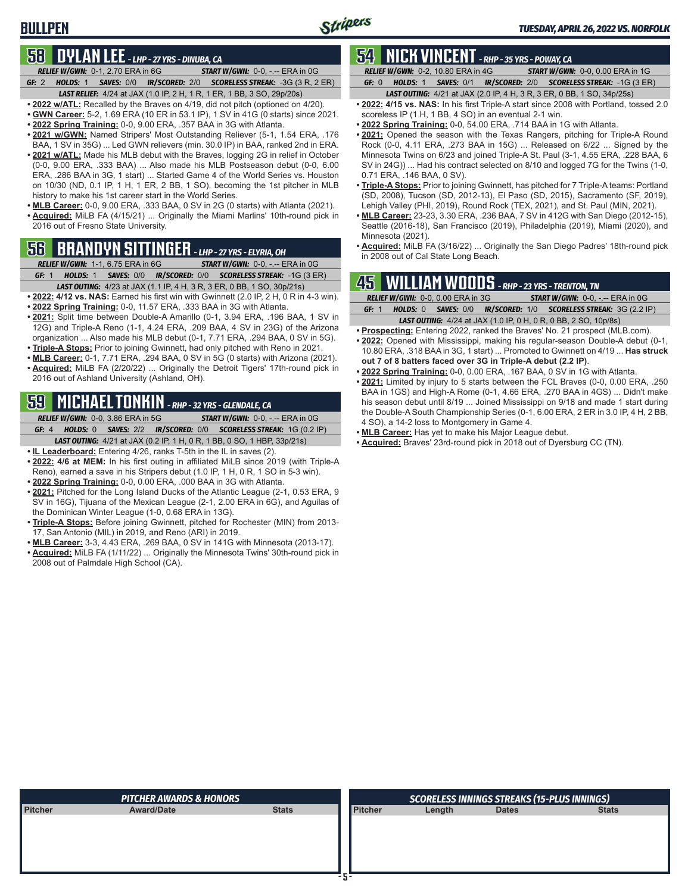### **58 DYLAN LEE** *- LHP - 27 YRS - DINUBA, CA*

**BULLPEN**

*RELIEF W/GWN:*0-1, 2.70 ERA in 6G *START W/GWN:*0-0, -.-- ERA in 0G *GF:*2 *HOLDS:*1 *SAVES:*0/0 *IR/SCORED:*2/0 *SCORELESS STREAK:*-3G (3 R, 2 ER) *LAST RELIEF:*4/24 at JAX (1.0 IP, 2 H, 1 R, 1 ER, 1 BB, 3 SO, 29p/20s)

**• 2022 w/ATL:** Recalled by the Braves on 4/19, did not pitch (optioned on 4/20).

- **• GWN Career:** 5-2, 1.69 ERA (10 ER in 53.1 IP), 1 SV in 41G (0 starts) since 2021.
- **• 2022 Spring Training:** 0-0, 9.00 ERA, .357 BAA in 3G with Atlanta.
- **• 2021 w/GWN:** Named Stripers' Most Outstanding Reliever (5-1, 1.54 ERA, .176 BAA, 1 SV in 35G) ... Led GWN relievers (min. 30.0 IP) in BAA, ranked 2nd in ERA.
- **• 2021 w/ATL:** Made his MLB debut with the Braves, logging 2G in relief in October (0-0, 9.00 ERA, .333 BAA) ... Also made his MLB Postseason debut (0-0, 6.00 ERA, .286 BAA in 3G, 1 start) ... Started Game 4 of the World Series vs. Houston on 10/30 (ND, 0.1 IP, 1 H, 1 ER, 2 BB, 1 SO), becoming the 1st pitcher in MLB history to make his 1st career start in the World Series.
- **• MLB Career:** 0-0, 9.00 ERA, .333 BAA, 0 SV in 2G (0 starts) with Atlanta (2021). **• Acquired:** MiLB FA (4/15/21) ... Originally the Miami Marlins' 10th-round pick in 2016 out of Fresno State University.

# **56 BRANDYN SITTINGER** *- LHP - 27 YRS - ELYRIA, OH*

*RELIEF W/GWN:*1-1, 6.75 ERA in 6G *START W/GWN:*0-0, -.-- ERA in 0G *GF:*1 *HOLDS:*1 *SAVES:*0/0 *IR/SCORED:*0/0 *SCORELESS STREAK:*-1G (3 ER)

- *LAST OUTING:*4/23 at JAX (1.1 IP, 4 H, 3 R, 3 ER, 0 BB, 1 SO, 30p/21s)
- **• 2022: 4/12 vs. NAS:** Earned his first win with Gwinnett (2.0 IP, 2 H, 0 R in 4-3 win).
- **• 2022 Spring Training:** 0-0, 11.57 ERA, .333 BAA in 3G with Atlanta.
- **• 2021:** Split time between Double-A Amarillo (0-1, 3.94 ERA, .196 BAA, 1 SV in 12G) and Triple-A Reno (1-1, 4.24 ERA, .209 BAA, 4 SV in 23G) of the Arizona organization ... Also made his MLB debut (0-1, 7.71 ERA, .294 BAA, 0 SV in 5G).
- **• Triple-A Stops:** Prior to joining Gwinnett, had only pitched with Reno in 2021.
- **• MLB Career:** 0-1, 7.71 ERA, .294 BAA, 0 SV in 5G (0 starts) with Arizona (2021).
- **• Acquired:** MiLB FA (2/20/22) ... Originally the Detroit Tigers' 17th-round pick in 2016 out of Ashland University (Ashland, OH).

### **59 MICHAEL TONKIN** *- RHP - 32 YRS - GLENDALE, CA*

*RELIEF W/GWN:*0-0, 3.86 ERA in 5G *START W/GWN:*0-0, -.-- ERA in 0G

- *GF:*4 *HOLDS:*0 *SAVES:*2/2 *IR/SCORED:*0/0 *SCORELESS STREAK:*1G (0.2 IP)
- *LAST OUTING:*4/21 at JAX (0.2 IP, 1 H, 0 R, 1 BB, 0 SO, 1 HBP, 33p/21s)
- **• IL Leaderboard:** Entering 4/26, ranks T-5th in the IL in saves (2).
- **• 2022: 4/6 at MEM:** In his first outing in affiliated MiLB since 2019 (with Triple-A Reno), earned a save in his Stripers debut (1.0 IP, 1 H, 0 R, 1 SO in 5-3 win).
- **• 2022 Spring Training:** 0-0, 0.00 ERA, .000 BAA in 3G with Atlanta.
- **• 2021:** Pitched for the Long Island Ducks of the Atlantic League (2-1, 0.53 ERA, 9 SV in 16G), Tijuana of the Mexican League (2-1, 2.00 ERA in 6G), and Aguilas of the Dominican Winter League (1-0, 0.68 ERA in 13G).
- **• Triple-A Stops:** Before joining Gwinnett, pitched for Rochester (MIN) from 2013- 17, San Antonio (MIL) in 2019, and Reno (ARI) in 2019.
- **• MLB Career:** 3-3, 4.43 ERA, .269 BAA, 0 SV in 141G with Minnesota (2013-17).
- **• Acquired:** MiLB FA (1/11/22) ... Originally the Minnesota Twins' 30th-round pick in 2008 out of Palmdale High School (CA).

### **54 NICK VINCENT** *- RHP - 35 YRS - POWAY, CA*

*RELIEF W/GWN:*0-2, 10.80 ERA in 4G *START W/GWN:*0-0, 0.00 ERA in 1G *GF:*0 *HOLDS:*1 *SAVES:*0/1 *IR/SCORED:*2/0 *SCORELESS STREAK:*-1G (3 ER)

- *LAST OUTING:*4/21 at JAX (2.0 IP, 4 H, 3 R, 3 ER, 0 BB, 1 SO, 34p/25s)
- **• 2022: 4/15 vs. NAS:** In his first Triple-A start since 2008 with Portland, tossed 2.0 scoreless IP (1 H, 1 BB, 4 SO) in an eventual 2-1 win.
- **• 2022 Spring Training:** 0-0, 54.00 ERA, .714 BAA in 1G with Atlanta.
- **• 2021:** Opened the season with the Texas Rangers, pitching for Triple-A Round Rock (0-0, 4.11 ERA, .273 BAA in 15G) ... Released on 6/22 ... Signed by the Minnesota Twins on 6/23 and joined Triple-A St. Paul (3-1, 4.55 ERA, .228 BAA, 6 SV in 24G)) ... Had his contract selected on 8/10 and logged 7G for the Twins (1-0, 0.71 ERA, .146 BAA, 0 SV).
- **• Triple-A Stops:** Prior to joining Gwinnett, has pitched for 7 Triple-A teams: Portland (SD, 2008), Tucson (SD, 2012-13), El Paso (SD, 2015), Sacramento (SF, 2019), Lehigh Valley (PHI, 2019), Round Rock (TEX, 2021), and St. Paul (MIN, 2021).
- **• MLB Career:** 23-23, 3.30 ERA, .236 BAA, 7 SV in 412G with San Diego (2012-15), Seattle (2016-18), San Francisco (2019), Philadelphia (2019), Miami (2020), and Minnesota (2021).
- **• Acquired:** MiLB FA (3/16/22) ... Originally the San Diego Padres' 18th-round pick in 2008 out of Cal State Long Beach.

# **45 WILLIAM WOODS** *- RHP - 23 YRS - TRENTON, TN*

|       | RELIEF W/GWN: 0-0, 0.00 ERA in 3G<br><b>START W/GWN: 0-0, -.-- ERA in 0G</b> |  |  |                                                                        |  |  |  |  |  |  |
|-------|------------------------------------------------------------------------------|--|--|------------------------------------------------------------------------|--|--|--|--|--|--|
| GF: 1 |                                                                              |  |  | HOLDS: 0 SAVES: 0/0 IR/SCORED: 1/0 SCORELESS STREAK: 3G (2.2 IP)       |  |  |  |  |  |  |
|       |                                                                              |  |  | <b>LAST OUTING:</b> 4/24 at JAX (1.0 IP, 0 H, 0 R, 0 BB, 2 SO, 10p/8s) |  |  |  |  |  |  |

- **• Prospecting:** Entering 2022, ranked the Braves' No. 21 prospect (MLB.com). **• 2022:** Opened with Mississippi, making his regular-season Double-A debut (0-1, 10.80 ERA, .318 BAA in 3G, 1 start) ... Promoted to Gwinnett on 4/19 ... **Has struck out 7 of 8 batters faced over 3G in Triple-A debut (2.2 IP)**.
- **• 2022 Spring Training:** 0-0, 0.00 ERA, .167 BAA, 0 SV in 1G with Atlanta.
- **• 2021:** Limited by injury to 5 starts between the FCL Braves (0-0, 0.00 ERA, .250 BAA in 1GS) and High-A Rome (0-1, 4.66 ERA, .270 BAA in 4GS) ... Didn't make his season debut until 8/19 ... Joined Mississippi on 9/18 and made 1 start during the Double-A South Championship Series (0-1, 6.00 ERA, 2 ER in 3.0 IP, 4 H, 2 BB, 4 SO), a 14-2 loss to Montgomery in Game 4.
- **• MLB Career:** Has yet to make his Major League debut.
- **• Acquired:** Braves' 23rd-round pick in 2018 out of Dyersburg CC (TN).

|                | <b>PITCHER AWARDS &amp; HONORS</b> |              |                | <b>SCORELESS INNINGS STREAKS (15-PLUS INNINGS)</b> |              |              |  |  |
|----------------|------------------------------------|--------------|----------------|----------------------------------------------------|--------------|--------------|--|--|
| <b>Pitcher</b> | <b>Award/Date</b>                  | <b>Stats</b> | <b>Pitcher</b> | Length                                             | <b>Dates</b> | <b>Stats</b> |  |  |
|                |                                    |              |                |                                                    |              |              |  |  |
|                |                                    |              |                |                                                    |              |              |  |  |
|                |                                    |              |                |                                                    |              |              |  |  |
|                |                                    |              |                |                                                    |              |              |  |  |
|                |                                    |              |                |                                                    |              |              |  |  |
|                |                                    |              |                |                                                    |              |              |  |  |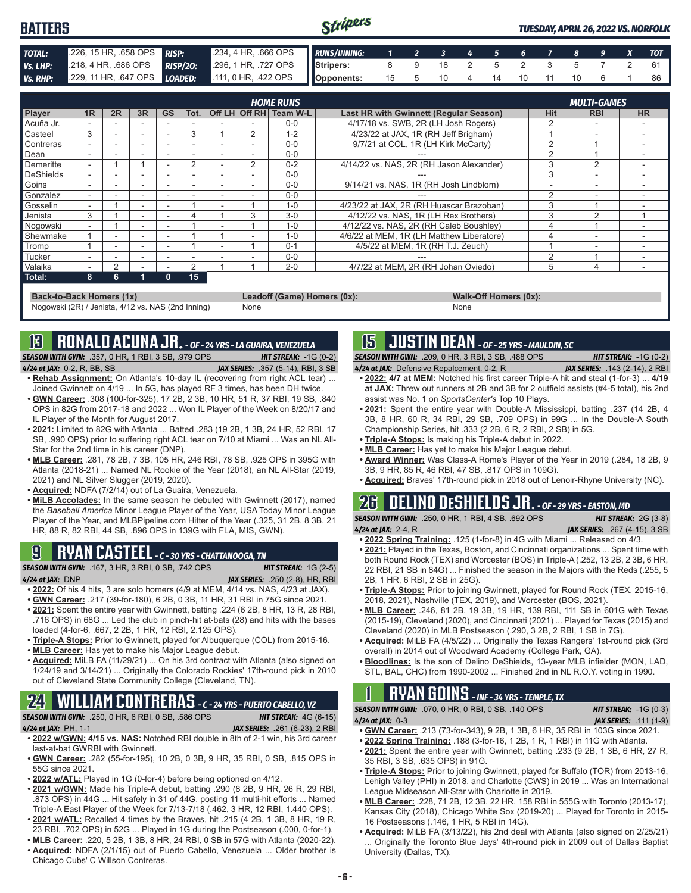| <b>BATTERS</b> |                                                                                  | Stripers                                                | <b>TUESDAY, APRIL 26, 2022 VS. NORFOLK</b> |  |                         |  |  |  |  |  |  |  |
|----------------|----------------------------------------------------------------------------------|---------------------------------------------------------|--------------------------------------------|--|-------------------------|--|--|--|--|--|--|--|
| <b>TOTAL:</b>  | 226, 15 HR, 658 OPS <b>RISP:</b>                                                 | 234, 4 HR, 666 OPS RUNS/INNING: 1 2 3 4 5 6 7 8 9 X TOT |                                            |  |                         |  |  |  |  |  |  |  |
| Vs. LHP:       | 218, 4 HR, 686 OPS RISP/20: 296, 1 HR, 727 OPS Stripers: 8 9 18 2 5 2 3 5 7 2 61 |                                                         |                                            |  |                         |  |  |  |  |  |  |  |
| Vs. RHP:       | 229, 11 HR, 647 OPS LOADED: 111, 0 HR, 422 OPS Opponents:                        |                                                         |                                            |  | 15 5 10 4 14 10 11 10 6 |  |  |  |  |  |  |  |

|                |    |    |                          |           |      |                | <b>HOME RUNS</b>       |                                               |               | <b>MULTI-GAMES</b> |           |
|----------------|----|----|--------------------------|-----------|------|----------------|------------------------|-----------------------------------------------|---------------|--------------------|-----------|
| <b>Player</b>  | 1R | 2R | 3R                       | <b>GS</b> | Tot. |                | Off LH Off RH Team W-L | <b>Last HR with Gwinnett (Regular Season)</b> | Hit           | <b>RBI</b>         | <b>HR</b> |
| Acuña Jr.      |    |    |                          |           |      |                | $0 - 0$                | 4/17/18 vs. SWB, 2R (LH Josh Rogers)          |               |                    |           |
| <b>Casteel</b> | 3  |    | $\sim$                   |           | 3    | $\mathcal{P}$  | 1-2                    | 4/23/22 at JAX, 1R (RH Jeff Brigham)          |               |                    |           |
| Contreras      |    |    |                          |           |      |                | $0 - 0$                | 9/7/21 at COL, 1R (LH Kirk McCarty)           |               |                    |           |
| Dean           |    |    | $\overline{\phantom{a}}$ | ۰         |      |                | $0 - 0$                |                                               |               |                    |           |
| Demeritte      |    |    |                          |           | 2    | $\overline{2}$ | $0 - 2$                | 4/14/22 vs. NAS, 2R (RH Jason Alexander)      |               | $\overline{2}$     |           |
| DeShields      |    |    |                          |           |      |                | $0 - 0$                |                                               | 3             |                    |           |
| <b>Goins</b>   |    |    | -                        | -         |      |                | $0 - 0$                | 9/14/21 vs. NAS, 1R (RH Josh Lindblom)        |               |                    |           |
| Gonzalez       |    |    |                          |           |      |                | $0 - 0$                |                                               |               |                    |           |
| Gosselin       |    |    |                          |           |      |                | $1 - 0$                | 4/23/22 at JAX. 2R (RH Huascar Brazoban)      |               |                    |           |
| Jenista        | 3  |    |                          |           | 4    | 3              | $3-0$                  | 4/12/22 vs. NAS. 1R (LH Rex Brothers)         | 3             | $\sim$             |           |
| Nogowski       |    |    | $\sim$                   | -         |      |                | $1 - 0$                | 4/12/22 vs. NAS, 2R (RH Caleb Boushley)       |               |                    |           |
| Shewmake       |    |    | -                        | -         |      |                | $1 - 0$                | 4/6/22 at MEM. 1R (LH Matthew Liberatore)     | 4             |                    |           |
| Tromp          |    | -  |                          |           |      |                | $0 - 1$                | 4/5/22 at MEM, 1R (RH T.J. Zeuch)             |               |                    |           |
| Tucker         |    |    |                          |           |      |                | $0 - 0$                |                                               | $\mathcal{P}$ |                    |           |
| Valaika        |    | 2  |                          |           | 2    |                | $2 - 0$                | 4/7/22 at MEM. 2R (RH Johan Oviedo)           | 5             | 4                  |           |
| Total:         | 8  | հ  |                          |           | 15   |                |                        |                                               |               |                    |           |

**Back-to-Back Homers (1x) Leadoff (Game) Homers (0x): Walk-Off Homers (0x): Walk-Off Homers (0x): None None** Nogowski (2R) / Jenista, 4/12 vs. NAS (2nd Inning)

### **13 RONALD ACUNA JR.** *- OF - 24 YRS - LA GUAIRA, VENEZUELA*

*SEASON WITH GWN:*.357, 0 HR, 1 RBI, 3 SB, .979 OPS *HIT STREAK:* -1G (0-2) *4/24 at JAX:*0-2, R, BB, SB *JAX SERIES:* .357 (5-14), RBI, 3 SB

- **• Rehab Assignment:** On Atlanta's 10-day IL (recovering from right ACL tear) ... Joined Gwinnett on 4/19 ... In 5G, has played RF 3 times, has been DH twice.
- **• GWN Career:** .308 (100-for-325), 17 2B, 2 3B, 10 HR, 51 R, 37 RBI, 19 SB, .840 OPS in 82G from 2017-18 and 2022 ... Won IL Player of the Week on 8/20/17 and IL Player of the Month for August 2017.
- **• 2021:** Limited to 82G with Atlanta ... Batted .283 (19 2B, 1 3B, 24 HR, 52 RBI, 17 SB, .990 OPS) prior to suffering right ACL tear on 7/10 at Miami ... Was an NL All-Star for the 2nd time in his career (DNP).
- **• MLB Career:** .281, 78 2B, 7 3B, 105 HR, 246 RBI, 78 SB, .925 OPS in 395G with Atlanta (2018-21) ... Named NL Rookie of the Year (2018), an NL All-Star (2019, 2021) and NL Silver Slugger (2019, 2020).
- **• Acquired:** NDFA (7/2/14) out of La Guaira, Venezuela.
- **• MiLB Accolades:** In the same season he debuted with Gwinnett (2017), named the *Baseball America* Minor League Player of the Year, USA Today Minor League Player of the Year, and MLBPipeline.com Hitter of the Year (.325, 31 2B, 8 3B, 21 HR, 88 R, 82 RBI, 44 SB, .896 OPS in 139G with FLA, MIS, GWN).

# **9 RYAN CASTEEL** *- C - 30 YRS - CHATTANOOGA, TN*

*SEASON WITH GWN:*.167, 3 HR, 3 RBI, 0 SB, .742 OPS *HIT STREAK:* 1G (2-5)

- *4/24 at JAX:*DNP *JAX SERIES:* .250 (2-8), HR, RBI **• 2022:** Of his 4 hits, 3 are solo homers (4/9 at MEM, 4/14 vs. NAS, 4/23 at JAX).
- **• GWN Career:** .217 (39-for-180), 6 2B, 0 3B, 11 HR, 31 RBI in 75G since 2021.
- **• 2021:** Spent the entire year with Gwinnett, batting .224 (6 2B, 8 HR, 13 R, 28 RBI, .716 OPS) in 68G ... Led the club in pinch-hit at-bats (28) and hits with the bases loaded (4-for-6, .667, 2 2B, 1 HR, 12 RBI, 2.125 OPS).
- **• Triple-A Stops:** Prior to Gwinnett, played for Albuquerque (COL) from 2015-16.
- **• MLB Career:** Has yet to make his Major League debut.
- **• Acquired:** MiLB FA (11/29/21) ... On his 3rd contract with Atlanta (also signed on 1/24/19 and 3/14/21) ... Originally the Colorado Rockies' 17th-round pick in 2010 out of Cleveland State Community College (Cleveland, TN).

# **24 WILLIAM CONTRERAS** *- C - 24 YRS - PUERTO CABELLO, VZ*

*SEASON WITH GWN:*.250, 0 HR, 6 RBI, 0 SB, .586 OPS *HIT STREAK:* 4G (6-15) *4/24 at JAX:*PH, 1-1 *JAX SERIES:* .261 (6-23), 2 RBI

- **• 2022 w/GWN: 4/15 vs. NAS:** Notched RBI double in 8th of 2-1 win, his 3rd career last-at-bat GWRBI with Gwinnett.
- **• GWN Career:** .282 (55-for-195), 10 2B, 0 3B, 9 HR, 35 RBI, 0 SB, .815 OPS in 55G since 2021.
- **• 2022 w/ATL:** Played in 1G (0-for-4) before being optioned on 4/12.
- **• 2021 w/GWN:** Made his Triple-A debut, batting .290 (8 2B, 9 HR, 26 R, 29 RBI, .873 OPS) in 44G ... Hit safely in 31 of 44G, posting 11 multi-hit efforts ... Named Triple-A East Player of the Week for 7/13-7/18 (.462, 3 HR, 12 RBI, 1.440 OPS). **• 2021 w/ATL:** Recalled 4 times by the Braves, hit .215 (4 2B, 1 3B, 8 HR, 19 R,
- 23 RBI, .702 OPS) in 52G ... Played in 1G during the Postseason (.000, 0-for-1). **• MLB Career:** .220, 5 2B, 1 3B, 8 HR, 24 RBI, 0 SB in 57G with Atlanta (2020-22).
- **• Acquired:** NDFA (2/1/15) out of Puerto Cabello, Venezuela ... Older brother is
- Chicago Cubs' C Willson Contreras.

### **15 JUSTIN DEAN** *- OF - 25 YRS - MAULDIN, SC*

*SEASON WITH GWN:*.209, 0 HR, 3 RBI, 3 SB, .488 OPS *HIT STREAK:* -1G (0-2)

- *4/24 at JAX:*Defensive Repalcement, 0-2, R *JAX SERIES:* .143 (2-14), 2 RBI **• 2022: 4/7 at MEM:** Notched his first career Triple-A hit and steal (1-for-3) ... **4/19**
- **at JAX:** Threw out runners at 2B and 3B for 2 outfield assists (#4-5 total), his 2nd assist was No. 1 on *SportsCenter's* Top 10 Plays.
- **• 2021:** Spent the entire year with Double-A Mississippi, batting .237 (14 2B, 4 3B, 8 HR, 60 R, 34 RBI, 29 SB, .709 OPS) in 99G ... In the Double-A South Championship Series, hit .333 (2 2B, 6 R, 2 RBI, 2 SB) in 5G.
- **• Triple-A Stops:** Is making his Triple-A debut in 2022.
- **• MLB Career:** Has yet to make his Major League debut.
- **• Award Winner:** Was Class-A Rome's Player of the Year in 2019 (.284, 18 2B, 9 3B, 9 HR, 85 R, 46 RBI, 47 SB, .817 OPS in 109G).
- **• Acquired:** Braves' 17th-round pick in 2018 out of Lenoir-Rhyne University (NC).

### **26 DELINO DESHIELDS JR.** *- OF - 29 YRS - EASTON, MD SEASON WITH GWN:*.250, 0 HR, 1 RBI, 4 SB, .692 OPS *HIT STREAK:* 2G (3-8)

*4/24 at JAX:*2-4, R *JAX SERIES:* .267 (4-15), 3 SB

- **• 2022 Spring Training:** .125 (1-for-8) in 4G with Miami ... Released on 4/3.
- **• 2021:** Played in the Texas, Boston, and Cincinnati organizations ... Spent time with both Round Rock (TEX) and Worcester (BOS) in Triple-A (.252, 13 2B, 2 3B, 6 HR, 22 RBI, 21 SB in 84G) ... Finished the season in the Majors with the Reds (.255, 5 2B, 1 HR, 6 RBI, 2 SB in 25G).
- **• Triple-A Stops:** Prior to joining Gwinnett, played for Round Rock (TEX, 2015-16, 2018, 2021), Nashville (TEX, 2019), and Worcester (BOS, 2021).
- **• MLB Career:** .246, 81 2B, 19 3B, 19 HR, 139 RBI, 111 SB in 601G with Texas (2015-19), Cleveland (2020), and Cincinnati (2021) ... Played for Texas (2015) and Cleveland (2020) in MLB Postseason (.290, 3 2B, 2 RBI, 1 SB in 7G).
- **• Acquired:** MiLB FA (4/5/22) ... Originally the Texas Rangers' 1st-round pick (3rd overall) in 2014 out of Woodward Academy (College Park, GA).
- **• Bloodlines:** Is the son of Delino DeShields, 13-year MLB infielder (MON, LAD, STL, BAL, CHC) from 1990-2002 ... Finished 2nd in NL R.O.Y. voting in 1990.

# **1 RYAN GOINS** *- INF - 34 YRS - TEMPLE, TX*

*SEASON WITH GWN:*.070, 0 HR, 0 RBI, 0 SB, .140 OPS *HIT STREAK:* -1G (0-3) *4/24 at JAX:*0-3 *JAX SERIES:* .111 (1-9)

- 
- **• GWN Career:** .213 (73-for-343), 9 2B, 1 3B, 6 HR, 35 RBI in 103G since 2021.
- **• 2022 Spring Training:** .188 (3-for-16, 1 2B, 1 R, 1 RBI) in 11G with Atlanta.
- **• 2021:** Spent the entire year with Gwinnett, batting .233 (9 2B, 1 3B, 6 HR, 27 R, 35 RBI, 3 SB, .635 OPS) in 91G.
- **• Triple-A Stops:** Prior to joining Gwinnett, played for Buffalo (TOR) from 2013-16, Lehigh Valley (PHI) in 2018, and Charlotte (CWS) in 2019 ... Was an International League Midseason All-Star with Charlotte in 2019.
- **• MLB Career:** .228, 71 2B, 12 3B, 22 HR, 158 RBI in 555G with Toronto (2013-17), Kansas City (2018), Chicago White Sox (2019-20) ... Played for Toronto in 2015- 16 Postseasons (.146, 1 HR, 5 RBI in 14G).
- **• Acquired:** MiLB FA (3/13/22), his 2nd deal with Atlanta (also signed on 2/25/21) Originally the Toronto Blue Jays' 4th-round pick in 2009 out of Dallas Baptist University (Dallas, TX).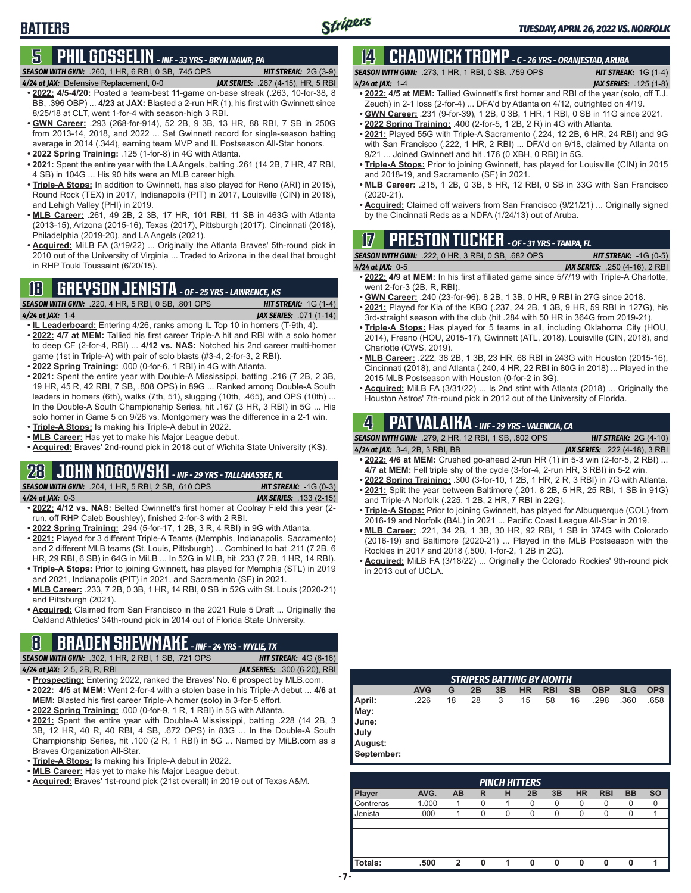### **5 PHIL GOSSELIN** *- INF - 33 YRS - BRYN MAWR, PA SEASON WITH GWN:*.260, 1 HR, 6 RBI, 0 SB, .745 OPS *HIT STREAK:* 2G (3-9)

**BATTERS**

- 
- *4/24 at JAX:*Defensive Replacement, 0-0 *JAX SERIES:* .267 (4-15), HR, 5 RBI **• 2022: 4/5-4/20:** Posted a team-best 11-game on-base streak (.263, 10-for-38, 8 BB, .396 OBP) ... **4/23 at JAX:** Blasted a 2-run HR (1), his first with Gwinnett since 8/25/18 at CLT, went 1-for-4 with season-high 3 RBI.
- **• GWN Career:** .293 (268-for-914), 52 2B, 9 3B, 13 HR, 88 RBI, 7 SB in 250G from 2013-14, 2018, and 2022 ... Set Gwinnett record for single-season batting average in 2014 (.344), earning team MVP and IL Postseason All-Star honors.
- **• 2022 Spring Training:** .125 (1-for-8) in 4G with Atlanta.
- **• 2021:** Spent the entire year with the LA Angels, batting .261 (14 2B, 7 HR, 47 RBI, 4 SB) in 104G ... His 90 hits were an MLB career high.
- **• Triple-A Stops:** In addition to Gwinnett, has also played for Reno (ARI) in 2015), Round Rock (TEX) in 2017, Indianapolis (PIT) in 2017, Louisville (CIN) in 2018), and Lehigh Valley (PHI) in 2019.
- **• MLB Career:** .261, 49 2B, 2 3B, 17 HR, 101 RBI, 11 SB in 463G with Atlanta (2013-15), Arizona (2015-16), Texas (2017), Pittsburgh (2017), Cincinnati (2018), Philadelphia (2019-20), and LA Angels (2021).
- **• Acquired:** MiLB FA (3/19/22) ... Originally the Atlanta Braves' 5th-round pick in 2010 out of the University of Virginia ... Traded to Arizona in the deal that brought in RHP Touki Toussaint (6/20/15).

### **18 GREYSON JENISTA** *- OF - 25 YRS - LAWRENCE, KS*

|                          | <b>SEASON WITH GWN:</b> .220, 4 HR, 5 RBI, 0 SB, .801 OPS | <b>HIT STREAK:</b> $1G(1-4)$   |
|--------------------------|-----------------------------------------------------------|--------------------------------|
| 4 <b>/24 at JAX:</b> 1-4 |                                                           | <b>JAX SERIES:</b> .071 (1-14) |

- **• IL Leaderboard:** Entering 4/26, ranks among IL Top 10 in homers (T-9th, 4). **• 2022: 4/7 at MEM:** Tallied his first career Triple-A hit and RBI with a solo homer to deep CF (2-for-4, RBI) ... **4/12 vs. NAS:** Notched his 2nd career multi-homer game (1st in Triple-A) with pair of solo blasts (#3-4, 2-for-3, 2 RBI).
- **• 2022 Spring Training:** .000 (0-for-6, 1 RBI) in 4G with Atlanta.
- **• 2021:** Spent the entire year with Double-A Mississippi, batting .216 (7 2B, 2 3B, 19 HR, 45 R, 42 RBI, 7 SB, .808 OPS) in 89G ... Ranked among Double-A South leaders in homers (6th), walks (7th, 51), slugging (10th, .465), and OPS (10th) ... In the Double-A South Championship Series, hit .167 (3 HR, 3 RBI) in 5G ... His solo homer in Game 5 on 9/26 vs. Montgomery was the difference in a 2-1 win. **• Triple-A Stops:** Is making his Triple-A debut in 2022.
- **• MLB Career:** Has yet to make his Major League debut.
- **• Acquired:** Braves' 2nd-round pick in 2018 out of Wichita State University (KS).

# **28 JOHN NOGOWSKI** *- INF - 29 YRS - TALLAHASSEE, FL*

*SEASON WITH GWN:*.204, 1 HR, 5 RBI, 2 SB, .610 OPS *HIT STREAK:* -1G (0-3) *4/24 at JAX:*0-3 *JAX SERIES:* .133 (2-15)

- **• 2022: 4/12 vs. NAS:** Belted Gwinnett's first homer at Coolray Field this year (2 run, off RHP Caleb Boushley), finished 2-for-3 with 2 RBI.
- **• 2022 Spring Training:** .294 (5-for-17, 1 2B, 3 R, 4 RBI) in 9G with Atlanta.
- **• 2021:** Played for 3 different Triple-A Teams (Memphis, Indianapolis, Sacramento) and 2 different MLB teams (St. Louis, Pittsburgh) ... Combined to bat .211 (7 2B, 6 HR, 29 RBI, 6 SB) in 64G in MiLB ... In 52G in MLB, hit .233 (7 2B, 1 HR, 14 RBI).
- **• Triple-A Stops:** Prior to joining Gwinnett, has played for Memphis (STL) in 2019 and 2021, Indianapolis (PIT) in 2021, and Sacramento (SF) in 2021.
- **• MLB Career:** .233, 7 2B, 0 3B, 1 HR, 14 RBI, 0 SB in 52G with St. Louis (2020-21) and Pittsburgh (2021).
- **• Acquired:** Claimed from San Francisco in the 2021 Rule 5 Draft ... Originally the Oakland Athletics' 34th-round pick in 2014 out of Florida State University.

### **8 BRADEN SHEWMAKE** *- INF - 24 YRS - WYLIE, TX*

*SEASON WITH GWN:*.302, 1 HR, 2 RBI, 1 SB, .721 OPS *HIT STREAK:* 4G (6-16)

*4/24 at JAX:*2-5, 2B, R, RBI *JAX SERIES:* .300 (6-20), RBI

- **• Prospecting:** Entering 2022, ranked the Braves' No. 6 prospect by MLB.com.
- **• 2022: 4/5 at MEM:** Went 2-for-4 with a stolen base in his Triple-A debut ... **4/6 at MEM:** Blasted his first career Triple-A homer (solo) in 3-for-5 effort.
- **• 2022 Spring Training:** .000 (0-for-9, 1 R, 1 RBI) in 5G with Atlanta.
- **• 2021:** Spent the entire year with Double-A Mississippi, batting .228 (14 2B, 3 3B, 12 HR, 40 R, 40 RBI, 4 SB, .672 OPS) in 83G ... In the Double-A South Championship Series, hit .100 (2 R, 1 RBI) in 5G ... Named by MiLB.com as a Braves Organization All-Star.
- **• Triple-A Stops:** Is making his Triple-A debut in 2022.
- **• MLB Career:** Has yet to make his Major League debut.
- **• Acquired:** Braves' 1st-round pick (21st overall) in 2019 out of Texas A&M.

# **14 CHADWICK TROMP** *- C - 26 YRS - ORANJESTAD, ARUBA*

| <b>SEASON WITH GWN:</b> .273, 1 HR, 1 RBI, 0 SB, .759 OPS | <b>HIT STREAK:</b> $1G(1-4)$  |
|-----------------------------------------------------------|-------------------------------|
| 4/24 at IAX: $1-4$                                        | <b>JAX SERIES:</b> .125 (1-8) |
| $\mathbf{A}$                                              |                               |

- **• 2022: 4/5 at MEM:** Tallied Gwinnett's first homer and RBI of the year (solo, off T.J. Zeuch) in 2-1 loss (2-for-4) ... DFA'd by Atlanta on 4/12, outrighted on 4/19.
- **• GWN Career:** .231 (9-for-39), 1 2B, 0 3B, 1 HR, 1 RBI, 0 SB in 11G since 2021.
- **• 2022 Spring Training:** .400 (2-for-5, 1 2B, 2 R) in 4G with Atlanta.
- **• 2021:** Played 55G with Triple-A Sacramento (.224, 12 2B, 6 HR, 24 RBI) and 9G with San Francisco (.222, 1 HR, 2 RBI) ... DFA'd on 9/18, claimed by Atlanta on 9/21 ... Joined Gwinnett and hit .176 (0 XBH, 0 RBI) in 5G.
- **• Triple-A Stops:** Prior to joining Gwinnett, has played for Louisville (CIN) in 2015 and 2018-19, and Sacramento (SF) in 2021.
- **• MLB Career:** .215, 1 2B, 0 3B, 5 HR, 12 RBI, 0 SB in 33G with San Francisco (2020-21).
- **• Acquired:** Claimed off waivers from San Francisco (9/21/21) ... Originally signed by the Cincinnati Reds as a NDFA (1/24/13) out of Aruba.

### **17 PRESTON TUCKER** *- OF - 31 YRS - TAMPA, FL*

|                          | <b>SEASON WITH GWN:</b> .222. 0 HR. 3 RBI. 0 SB. .682 OPS . | <b>HIT STREAK:</b> $-1G(0-5)$         |
|--------------------------|-------------------------------------------------------------|---------------------------------------|
| 4 <b>/24 at JAX:</b> 0-5 |                                                             | <b>JAX SERIES:</b> .250 (4-16), 2 RBI |

- **• 2022: 4/9 at MEM:** In his first affiliated game since 5/7/19 with Triple-A Charlotte, went 2-for-3 (2B, R, RBI).
- **• GWN Career:** .240 (23-for-96), 8 2B, 1 3B, 0 HR, 9 RBI in 27G since 2018.
- **• 2021:** Played for Kia of the KBO (.237, 24 2B, 1 3B, 9 HR, 59 RBI in 127G), his 3rd-straight season with the club (hit .284 with 50 HR in 364G from 2019-21).
- **• Triple-A Stops:** Has played for 5 teams in all, including Oklahoma City (HOU, 2014), Fresno (HOU, 2015-17), Gwinnett (ATL, 2018), Louisville (CIN, 2018), and Charlotte (CWS, 2019).
- **• MLB Career:** .222, 38 2B, 1 3B, 23 HR, 68 RBI in 243G with Houston (2015-16), Cincinnati (2018), and Atlanta (.240, 4 HR, 22 RBI in 80G in 2018) ... Played in the 2015 MLB Postseason with Houston (0-for-2 in 3G).
- **• Acquired:** MiLB FA (3/31/22) ... Is 2nd stint with Atlanta (2018) ... Originally the Houston Astros' 7th-round pick in 2012 out of the University of Florida.

### **4 PAT VALAIKA** *- INF - 29 YRS - VALENCIA, CA*

*SEASON WITH GWN:*.279, 2 HR, 12 RBI, 1 SB, .802 OPS *HIT STREAK:* 2G (4-10)

- *4/24 at JAX:*3-4, 2B, 3 RBI, BB *JAX SERIES:* .222 (4-18), 3 RBI **• 2022: 4/6 at MEM:** Crushed go-ahead 2-run HR (1) in 5-3 win (2-for-5, 2 RBI) ...
- **4/7 at MEM:** Fell triple shy of the cycle (3-for-4, 2-run HR, 3 RBI) in 5-2 win. **• 2022 Spring Training:** .300 (3-for-10, 1 2B, 1 HR, 2 R, 3 RBI) in 7G with Atlanta.
- **• 2021:** Split the year between Baltimore (.201, 8 2B, 5 HR, 25 RBI, 1 SB in 91G) and Triple-A Norfolk (.225, 1 2B, 2 HR, 7 RBI in 22G).
- **• Triple-A Stops:** Prior to joining Gwinnett, has played for Albuquerque (COL) from 2016-19 and Norfolk (BAL) in 2021 ... Pacific Coast League All-Star in 2019.
- **• MLB Career:** .221, 34 2B, 1 3B, 30 HR, 92 RBI, 1 SB in 374G with Colorado (2016-19) and Baltimore (2020-21) ... Played in the MLB Postseason with the Rockies in 2017 and 2018 (.500, 1-for-2, 1 2B in 2G).
- **• Acquired:** MiLB FA (3/18/22) ... Originally the Colorado Rockies' 9th-round pick in 2013 out of UCLA.

| <b>STRIPERS BATTING BY MONTH</b>                         |            |    |    |    |           |            |           |            |            |            |
|----------------------------------------------------------|------------|----|----|----|-----------|------------|-----------|------------|------------|------------|
|                                                          | <b>AVG</b> | G  | 2B | 3B | <b>HR</b> | <b>RBI</b> | <b>SB</b> | <b>OBP</b> | <b>SLG</b> | <b>OPS</b> |
| April:<br>May:<br>June:<br>July<br>August:<br>September: | .226       | 18 | 28 | 3  | 15        | 58         | 16        | .298       | .360       | .658       |

*PINCH HITTERS* **Player AVG. AB R H 2B 3B HR RBI BB SO** Contreras 1.000 1 0 1 0 0 0 0 0 0 Jenista .000 1 0 0 0 0 0 0 0 1 **Totals: .500 2 0 1 0 0 0 0 0 1**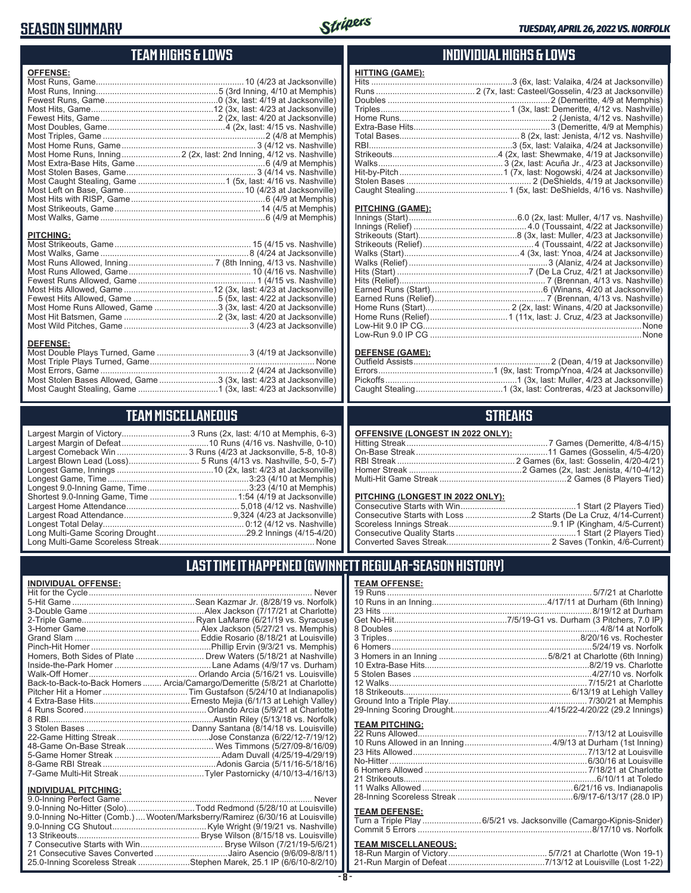### **SEASON SUMMARY**

**DEFENSE:**

**INDIVIDUAL OFFENSE:**



### **TEAM HIGHS & LOWS**

| <b>OFFENSE:</b>  |  |
|------------------|--|
|                  |  |
|                  |  |
|                  |  |
|                  |  |
|                  |  |
|                  |  |
|                  |  |
|                  |  |
|                  |  |
|                  |  |
|                  |  |
|                  |  |
|                  |  |
|                  |  |
|                  |  |
|                  |  |
|                  |  |
| <b>PITCHING:</b> |  |
|                  |  |

Most Walks, Game ...............................................................8 (4/24 at Jacksonville) Most Runs Allowed, Inning .................................... 7 (8th Inning, 4/13 vs. Nashville) Most Runs Allowed, Game .................................................... 10 (4/16 vs. Nashville) Fewest Runs Allowed, Game .................................................. 1 (4/15 vs. Nashville) Most Hits Allowed, Game ......................................12 (3x, last: 4/23 at Jacksonville) Fewest Hits Allowed, Game ....................................5 (5x, last: 4/22 at Jacksonville) Most Home Runs Allowed, Game ...........................3 (3x, last: 4/20 at Jacksonville) Most Hit Batsmen, Game ........................................2 (3x, last: 4/20 at Jacksonville) Most Wild Pitches, Game .....................................................3 (4/23 at Jacksonville)

Most Double Plays Turned, Game .......................................3 (4/19 at Jacksonville) Most Triple Plays Turned, Game ...................................................................... None Most Errors, Game ...............................................................2 (4/24 at Jacksonville) Most Stolen Bases Allowed, Game .........................3 (3x, last: 4/23 at Jacksonville) Most Caught Stealing, Game ..................................1 (3x, last: 4/23 at Jacksonville)

**TEAM MISCELLANEOUS** Largest Margin of Victory.............................3 Runs (2x, last: 4/10 at Memphis, 6-3) Largest Margin of Defeat.....................................10 Runs (4/16 vs. Nashville, 0-10) Largest Comeback Win .............................. 3 Runs (4/23 at Jacksonville, 5-8, 10-8) Largest Blown Lead (Loss).............................. 5 Runs (4/13 vs. Nashville, 5-0, 5-7) Longest Game, Innings .........................................10 (2x, last: 4/23 at Jacksonville) Longest Game, Time ............................................................3:23 (4/10 at Memphis) Longest 9.0-Inning Game, Time ...........................................3:23 (4/10 at Memphis) Shortest 9.0-Inning Game, Time .....................................1:54 (4/19 at Jacksonville) Largest Home Attendance ................................................ 5,018 (4/12 vs. Nashville) Largest Road Attendance ..............................................9,324 (4/23 at Jacksonville) Longest Total Delay............................................................ 0:12 (4/12 vs. Nashville) Long Multi-Game Scoring Drought ......................................29.2 Innings (4/15-4/20) Long Multi-Game Scoreless Streak .................................................................. None

### **INDIVIDUAL HIGHS & LOWS**

#### **PITCHING (GAME):**

**HITTING (GAME):**

#### **DEFENSE (GAME):**

### **STREAKS**

#### **PITCHING (LONGEST IN 2022 ONLY):**

19 Runs ....................................................................................... 5/7/21 at Charlotte 10 Runs in an Inning.................................................4/17/11 at Durham (6th Inning) 23 Hits .........................................................................................8/19/12 at Durham Get No-Hit................................................7/5/19-G1 vs. Durham (3 Pitchers, 7.0 IP) 8 Doubles ....................................................................................... 4/8/14 at Norfolk 3 Triples..................................................................................8/20/16 vs. Rochester 6 Homers.....................................................................................5/24/19 vs. Norfolk 3 Homers in an Inning ..............................................5/8/21 at Charlotte (6th Inning) 10 Extra-Base Hits......................................................................8/2/19 vs. Charlotte 5 Stolen Bases ............................................................................4/27/10 vs. Norfolk 12 Walks.................................................................................... 7/15/21 at Charlotte 18 Strikeouts....................................................................... 6/13/19 at Lehigh Valley Ground Into a Triple Play........................................................... 7/30/21 at Memphis

### **LAST TIME IT HAPPENED (GWINNETT REGULAR-SEASON HISTORY)**

**TEAM OFFENSE:**

|                               | Homers, Both Sides of Plate  Drew Waters (5/18/21 at Nashville)            |
|-------------------------------|----------------------------------------------------------------------------|
|                               |                                                                            |
|                               |                                                                            |
|                               | Back-to-Back-to-Back Homers  Arcia/Camargo/Demeritte (5/8/21 at Charlotte) |
|                               |                                                                            |
|                               |                                                                            |
|                               |                                                                            |
|                               |                                                                            |
|                               |                                                                            |
|                               |                                                                            |
|                               |                                                                            |
|                               |                                                                            |
|                               |                                                                            |
|                               |                                                                            |
| <b>INDIVIDUAL PITCHING:</b>   |                                                                            |
| 0.0 Institute Developed Compa | <b>N</b> Lassau                                                            |

| 9.0-Inning No-Hitter (Solo)Todd Redmond (5/28/10 at Louisville)                 |  |
|---------------------------------------------------------------------------------|--|
| 9.0-Inning No-Hitter (Comb.)  Wooten/Marksberry/Ramirez (6/30/16 at Louisville) |  |
|                                                                                 |  |
|                                                                                 |  |
|                                                                                 |  |
| 21 Consecutive Saves Converted Jairo Asencio (9/6/09-8/8/11)                    |  |
| 25.0-Inning Scoreless Streak Stephen Marek, 25.1 IP (6/6/10-8/2/10)             |  |
|                                                                                 |  |

#### 29-Inning Scoring Drought.........................................4/15/22-4/20/22 (29.2 Innings) **TEAM PITCHING:**

| ILAM FILVIIILV. |  |
|-----------------|--|
|                 |  |
|                 |  |
|                 |  |
|                 |  |
|                 |  |
|                 |  |
|                 |  |
|                 |  |
|                 |  |

#### **TEAM DEFENSE:**

| Turn a Triple Play 6/5/21 vs. Jacksonville (Camargo-Kipnis-Snider) |
|--------------------------------------------------------------------|
|                                                                    |

### **TEAM MISCELLANEOUS:**